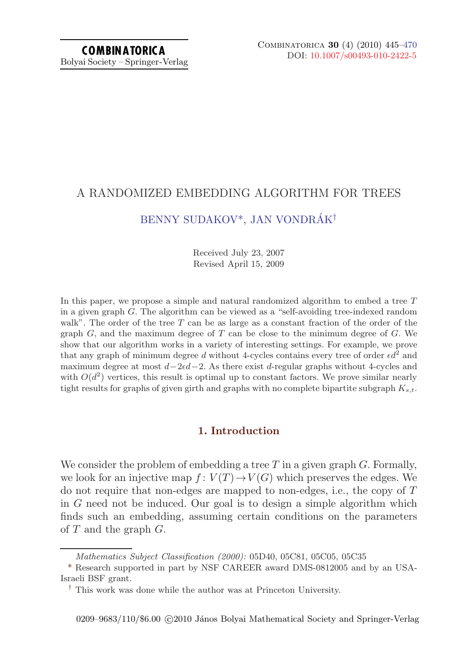# A RANDOMIZED EMBEDDING ALGORITHM FOR TREES

# [BENNY SUDAKOV](#page-25-0)\*, JAN VONDRÁK<sup>†</sup>

Received July 23, 2007 Revised April 15, 2009

In this paper, we propose a simple and natural randomized algorithm to embed a tree  $T$ in a given graph G. The algorithm can be viewed as a "self-avoiding tree-indexed random walk". The order of the tree  $T$  can be as large as a constant fraction of the order of the graph  $G$ , and the maximum degree of  $T$  can be close to the minimum degree of  $G$ . We show that our algorithm works in a variety of interesting settings. For example, we prove that any graph of minimum degree d without 4-cycles contains every tree of order  $\epsilon d^2$  and maximum degree at most  $d-2\epsilon d-2$ . As there exist d-regular graphs without 4-cycles and with  $O(d^2)$  vertices, this result is optimal up to constant factors. We prove similar nearly tight results for graphs of given girth and graphs with no complete bipartite subgraph  $K_{s,t}$ .

# **1. Introduction**

We consider the problem of embedding a tree  $T$  in a given graph  $G$ . Formally, we look for an injective map  $f: V(T) \to V(G)$  which preserves the edges. We do not require that non-edges are mapped to non-edges, i.e., the copy of  $T$ in G need not be induced. Our goal is to design a simple algorithm which finds such an embedding, assuming certain conditions on the parameters of  $T$  and the graph  $G$ .

*Mathematics Subject Classification (2000):* 05D40, 05C81, 05C05, 05C35

<sup>\*</sup> Research supported in part by NSF CAREER award DMS-0812005 and by an USA-Israeli BSF grant.

<sup>†</sup> This work was done while the author was at Princeton University.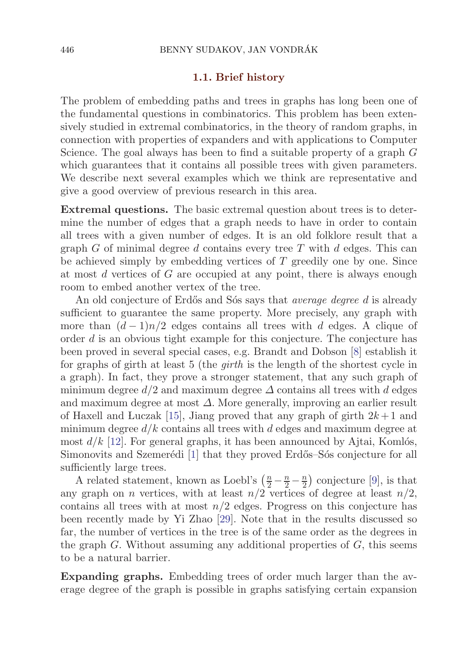### **1.1. Brief history**

The problem of embedding paths and trees in graphs has long been one of the fundamental questions in combinatorics. This problem has been extensively studied in extremal combinatorics, in the theory of random graphs, in connection with properties of expanders and with applications to Computer Science. The goal always has been to find a suitable property of a graph G which guarantees that it contains all possible trees with given parameters. We describe next several examples which we think are representative and give a good overview of previous research in this area.

**Extremal questions.** The basic extremal question about trees is to determine the number of edges that a graph needs to have in order to contain all trees with a given number of edges. It is an old folklore result that a graph G of minimal degree d contains every tree T with d edges. This can be achieved simply by embedding vertices of T greedily one by one. Since at most  $d$  vertices of  $G$  are occupied at any point, there is always enough room to embed another vertex of the tree.

An old conjecture of Erdős and Sós says that *average degree* d is already sufficient to guarantee the same property. More precisely, any graph with more than  $(d-1)n/2$  edges contains all trees with d edges. A clique of order d is an obvious tight example for this conjecture. The conjecture has been proved in several special cases, e.g. Brandt and Dobson [\[8\]](#page-24-0) establish it for graphs of girth at least 5 (the *girth* is the length of the shortest cycle in a graph). In fact, they prove a stronger statement, that any such graph of minimum degree  $d/2$  and maximum degree  $\Delta$  contains all trees with d edges and maximum degree at most  $\Delta$ . More generally, improving an earlier result of Haxell and Luczak [\[15](#page-24-0)], Jiang proved that any graph of girth  $2k+1$  and minimum degree  $d/k$  contains all trees with d edges and maximum degree at most  $d/k$  [[12](#page-24-0)]. For general graphs, it has been announced by Ajtai, Komlós, Simonovits and Szemerédi [[1](#page-24-0)] that they proved Erdős–Sós conjecture for all sufficiently large trees.

A related statement, known as Loebl's  $\left(\frac{n}{2} - \frac{n}{2} - \frac{n}{2}\right)$  conjecture [[9\]](#page-24-0), is that  $r$  graph on  $n$  vertices with at least  $n/2$  vertices of degree at least  $n/2$ any graph on *n* vertices, with at least  $n/2$  vertices of degree at least  $n/2$ , contains all trees with at most  $n/2$  edges. Progress on this conjecture has been recently made by Yi Zhao [[29\]](#page-25-0). Note that in the results discussed so far, the number of vertices in the tree is of the same order as the degrees in the graph  $G$ . Without assuming any additional properties of  $G$ , this seems to be a natural barrier.

**Expanding graphs.** Embedding trees of order much larger than the average degree of the graph is possible in graphs satisfying certain expansion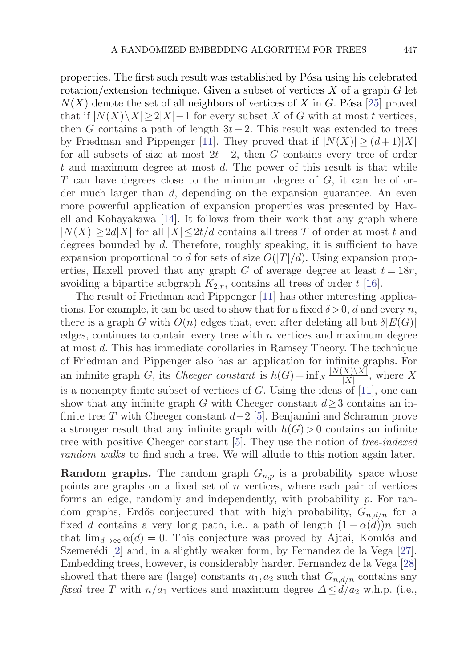properties. The first such result was established by Pósa using his celebrated rotation/extension technique. Given a subset of vertices  $X$  of a graph  $G$  let  $N(X)$  denote the set of all neighbors of vertices of X in G. Pósa [\[25](#page-25-0)] proved that if  $|N(X)\setminus X|\geq 2|X|-1$  for every subset X of G with at most t vertices, then G contains a path of length  $3t-2$ . This result was extended to trees by Friedman and Pippenger [\[11](#page-24-0)]. They proved that if  $|N(X)| \geq (d+1)|X|$ for all subsets of size at most  $2t-2$ , then G contains every tree of order t and maximum degree at most  $d$ . The power of this result is that while T can have degrees close to the minimum degree of  $G$ , it can be of order much larger than d, depending on the expansion guarantee. An even more powerful application of expansion properties was presented by Haxell and Kohayakawa [\[14\]](#page-24-0). It follows from their work that any graph where  $|N(X)| > 2d|X|$  for all  $|X| \leq 2t/d$  contains all trees T of order at most t and degrees bounded by  $d$ . Therefore, roughly speaking, it is sufficient to have expansion proportional to d for sets of size  $O(|T|/d)$ . Using expansion properties, Haxell proved that any graph G of average degree at least  $t = 18r$ , avoiding a bipartite subgraph  $K_{2,r}$ , contains all trees of order t [\[16\]](#page-24-0).

The result of Friedman and Pippenger [[11\]](#page-24-0) has other interesting applications. For example, it can be used to show that for a fixed  $\delta > 0$ , d and every n, there is a graph G with  $O(n)$  edges that, even after deleting all but  $\delta |E(G)|$ edges, continues to contain every tree with  $n$  vertices and maximum degree at most d. This has immediate corollaries in Ramsey Theory. The technique of Friedman and Pippenger also has an application for infinite graphs. For an infinite graph G, its *Cheeger constant* is  $h(G) = \inf_{X} \frac{|N(X)\setminus X|}{|X|}$ , where X is a nonempty finite subset of vertices of G. Using the ideas of [[11](#page-24-0)], one can show that any infinite graph G with Cheeger constant  $d>3$  contains an infinite tree T with Cheeger constant  $d-2$  [[5](#page-24-0)]. Benjamini and Schramm prove a stronger result that any infinite graph with  $h(G) > 0$  contains an infinite tree with positive Cheeger constant [\[5\]](#page-24-0). They use the notion of *tree-indexed random walks* to find such a tree. We will allude to this notion again later.

**Random graphs.** The random graph  $G_{n,p}$  is a probability space whose points are graphs on a fixed set of  $n$  vertices, where each pair of vertices forms an edge, randomly and independently, with probability  $p$ . For random graphs, Erdős conjectured that with high probability,  $G_{n,d/n}$  for a fixed d contains a very long path, i.e., a path of length  $(1 - \alpha(d))n$  such that  $\lim_{d\to\infty} \alpha(d) = 0$ . This conjecture was proved by Ajtai, Komlós and Szemerédi [\[2\]](#page-24-0) and, in a slightly weaker form, by Fernandez de la Vega [\[27](#page-25-0)]. Embedding trees, however, is considerably harder. Fernandez de la Vega [\[28](#page-25-0)] showed that there are (large) constants  $a_1, a_2$  such that  $G_{n,d/n}$  contains any *fixed* tree T with  $n/a_1$  vertices and maximum degree  $\Delta \le d/a_2$  w.h.p. (i.e.,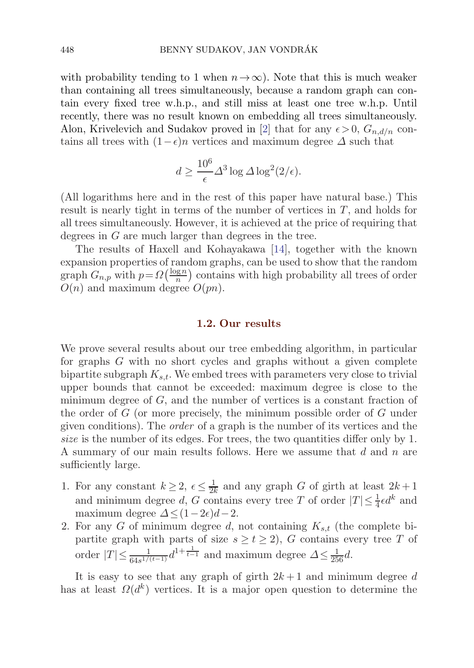with probability tending to 1 when  $n \to \infty$ ). Note that this is much weaker than containing all trees simultaneously, because a random graph can contain every fixed tree w.h.p., and still miss at least one tree w.h.p. Until recently, there was no result known on embedding all trees simultaneously. Alon, Krivelevich and Sudakov proved in [[2](#page-24-0)] that for any  $\epsilon > 0$ ,  $G_{n,d/n}$  contains all trees with  $(1-\epsilon)n$  vertices and maximum degree  $\Delta$  such that

$$
d \ge \frac{10^6}{\epsilon} \Delta^3 \log \Delta \log^2(2/\epsilon).
$$

(All logarithms here and in the rest of this paper have natural base.) This result is nearly tight in terms of the number of vertices in  $T$ , and holds for all trees simultaneously. However, it is achieved at the price of requiring that degrees in G are much larger than degrees in the tree.

The results of Haxell and Kohayakawa [\[14\]](#page-24-0), together with the known expansion properties of random graphs, can be used to show that the random graph  $G_{n,p}$  with  $p = \Omega\left(\frac{\log n}{n}\right)$  contains with high probability all trees of order  $O(n)$  and maximum degree  $O(pn)$ .

# **1.2. Our results**

We prove several results about our tree embedding algorithm, in particular for graphs G with no short cycles and graphs without a given complete bipartite subgraph  $K_{s,t}$ . We embed trees with parameters very close to trivial upper bounds that cannot be exceeded: maximum degree is close to the minimum degree of  $G$ , and the number of vertices is a constant fraction of the order of G (or more precisely, the minimum possible order of G under given conditions). The *order* of a graph is the number of its vertices and the *size* is the number of its edges. For trees, the two quantities differ only by 1. A summary of our main results follows. Here we assume that d and n are sufficiently large.

- 1. For any constant  $k \geq 2$ ,  $\epsilon \leq \frac{1}{2k}$  and any graph G of girth at least  $2k+1$ <br>and minimum degree d G contains every tree T of order  $|T| < \frac{1}{2} \epsilon d^k$  and and minimum degree d, G contains every tree T of order  $|T| \leq \frac{1}{4} \epsilon d^k$  and maximum degree  $\Delta < (1 - 2\epsilon)d - 2$ maximum degree  $\Delta \leq (1-2\epsilon)d-2$ .
- 2. For any G of minimum degree d, not containing  $K_{s,t}$  (the complete bipartite graph with parts of size  $s \ge t \ge 2$ , G contains every tree T of order  $|T| \leq \frac{1}{64s^{1/(t-1)}} d^{1+\frac{1}{t-1}}$  and maximum degree  $\Delta \leq \frac{1}{256} d$ .

It is easy to see that any graph of girth  $2k+1$  and minimum degree d has at least  $\Omega(d^k)$  vertices. It is a major open question to determine the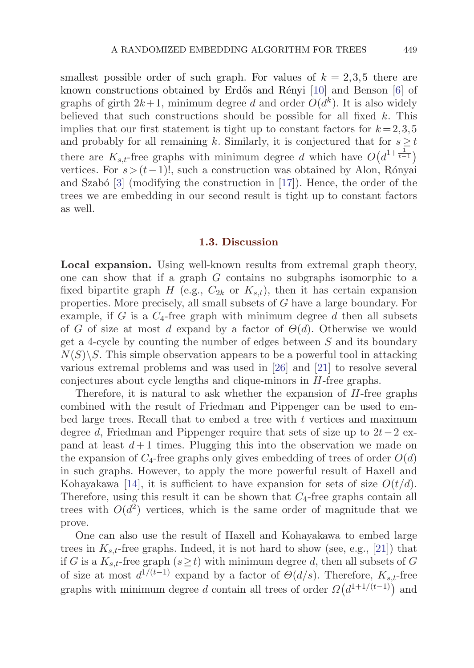smallest possible order of such graph. For values of  $k = 2,3,5$  there are known constructions obtained by Erdős and Rényi [[10\]](#page-24-0) and Benson [\[6\]](#page-24-0) of graphs of girth  $2k+1$ , minimum degree d and order  $O(d^k)$ . It is also widely believed that such constructions should be possible for all fixed  $k$ . This implies that our first statement is tight up to constant factors for  $k = 2,3,5$ and probably for all remaining k. Similarly, it is conjectured that for  $s \geq t$ there are  $K_{s,t}$ -free graphs with minimum degree d which have  $O(d^{1+\frac{1}{t-1}})$ vertices. For  $s > (t-1)!$ , such a construction was obtained by Alon, Rónyai and Szabó  $\begin{bmatrix}3\end{bmatrix}$  $\begin{bmatrix}3\end{bmatrix}$  $\begin{bmatrix}3\end{bmatrix}$  (modifying the construction in  $\begin{bmatrix}17\end{bmatrix}$ ). Hence, the order of the trees we are embedding in our second result is tight up to constant factors as well.

#### **1.3. Discussion**

**Local expansion.** Using well-known results from extremal graph theory, one can show that if a graph G contains no subgraphs isomorphic to a fixed bipartite graph H (e.g.,  $C_{2k}$  or  $K_{s,t}$ ), then it has certain expansion properties. More precisely, all small subsets of G have a large boundary. For example, if G is a  $C_4$ -free graph with minimum degree d then all subsets of G of size at most d expand by a factor of  $\Theta(d)$ . Otherwise we would get a 4-cycle by counting the number of edges between S and its boundary  $N(S)\backslash S$ . This simple observation appears to be a powerful tool in attacking various extremal problems and was used in [\[26\]](#page-25-0) and [[21\]](#page-25-0) to resolve several conjectures about cycle lengths and clique-minors in H-free graphs.

Therefore, it is natural to ask whether the expansion of  $H$ -free graphs combined with the result of Friedman and Pippenger can be used to embed large trees. Recall that to embed a tree with  $t$  vertices and maximum degree d, Friedman and Pippenger require that sets of size up to 2t−2 expand at least  $d+1$  times. Plugging this into the observation we made on the expansion of  $C_4$ -free graphs only gives embedding of trees of order  $O(d)$ in such graphs. However, to apply the more powerful result of Haxell and Kohayakawa [\[14](#page-24-0)], it is sufficient to have expansion for sets of size  $O(t/d)$ . Therefore, using this result it can be shown that  $C_4$ -free graphs contain all trees with  $O(d^2)$  vertices, which is the same order of magnitude that we prove.

One can also use the result of Haxell and Kohayakawa to embed large trees in  $K_{s,t}$ -free graphs. Indeed, it is not hard to show (see, e.g., [[21](#page-25-0)]) that if G is a  $K_{s,t}$ -free graph  $(s \geq t)$  with minimum degree d, then all subsets of G of size at most  $d^{1/(t-1)}$  expand by a factor of  $\Theta(d/s)$ . Therefore,  $K_{s,t}$ -free graphs with minimum degree d contain all trees of order  $\Omega(d^{1+1/(t-1)})$  and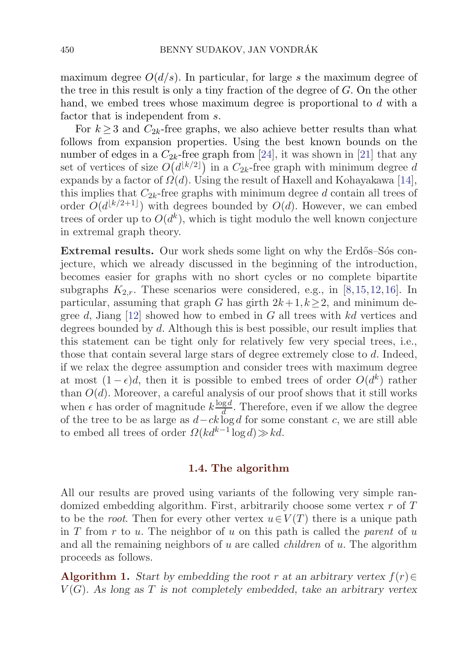<span id="page-5-0"></span>maximum degree  $O(d/s)$ . In particular, for large s the maximum degree of the tree in this result is only a tiny fraction of the degree of G. On the other hand, we embed trees whose maximum degree is proportional to d with a factor that is independent from s.

For  $k > 3$  and  $C_{2k}$ -free graphs, we also achieve better results than what follows from expansion properties. Using the best known bounds on the number of edges in a  $C_{2k}$ -free graph from [\[24](#page-25-0)], it was shown in [[21\]](#page-25-0) that any set of vertices of size  $O(d^{\lfloor k/2 \rfloor})$  in a  $C_{2k}$ -free graph with minimum degree d<br>expands by a factor of  $O(d)$ . Heing the result of Hayell and Kohayelowa [14] expands by a factor of  $\Omega(d)$ . Using the result of Haxell and Kohayakawa [\[14](#page-24-0)], this implies that  $C_{2k}$ -free graphs with minimum degree d contain all trees of order  $O(d^{\lfloor k/2+1 \rfloor})$  with degrees bounded by  $O(d)$ . However, we can embed trees of order up to  $O(d^k)$ , which is tight modulo the well known conjecture in extremal graph theory.

**Extremal results.** Our work sheds some light on why the Erdős–Sós conjecture, which we already discussed in the beginning of the introduction, becomes easier for graphs with no short cycles or no complete bipartite subgraphs  $K_{2,r}$ . These scenarios were considered, e.g., in [[8](#page-24-0),[15](#page-24-0),[12,16\]](#page-24-0). In particular, assuming that graph G has girth  $2k+1, k\geq 2$ , and minimum degree d, Jiang  $[12]$  $[12]$  $[12]$  showed how to embed in G all trees with kd vertices and degrees bounded by d. Although this is best possible, our result implies that this statement can be tight only for relatively few very special trees, i.e., those that contain several large stars of degree extremely close to d. Indeed, if we relax the degree assumption and consider trees with maximum degree at most  $(1 - \epsilon)d$ , then it is possible to embed trees of order  $O(d^k)$  rather than  $O(d)$ . Moreover, a careful analysis of our proof shows that it still works when  $\epsilon$  has order of magnitude  $k \frac{\log d}{d}$ . Therefore, even if we allow the degree of the tree to be as large as  $d - ck \log d$  for some constant c, we are still able to embed all trees of order  $\Omega(kd^{k-1}\log d)\gg kd$ .

#### **1.4. The algorithm**

All our results are proved using variants of the following very simple randomized embedding algorithm. First, arbitrarily choose some vertex  $r$  of  $T$ to be the *root*. Then for every other vertex  $u \in V(T)$  there is a unique path in T from r to u. The neighbor of u on this path is called the *parent* of u and all the remaining neighbors of u are called *children* of u. The algorithm proceeds as follows.

**Algorithm 1.** *Start by embedding the root* r *at an arbitrary vertex*  $f(r) \in$ V (G)*. As long as* T *is not completely embedded, take an arbitrary vertex*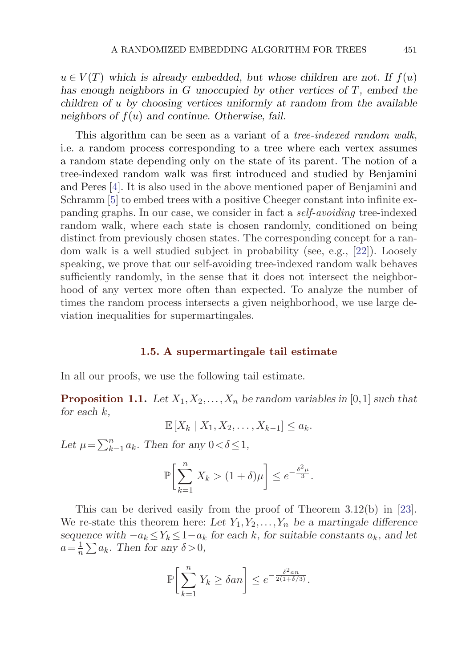<span id="page-6-0"></span> $u \in V(T)$  which is already embedded, but whose children are not. If  $f(u)$ *has enough neighbors in* G *unoccupied by other vertices of* T*, embed the children of* u *by choosing vertices uniformly at random from the available neighbors of* f(u) *and continue. Otherwise, fail.*

This algorithm can be seen as a variant of a *tree-indexed random walk*, i.e. a random process corresponding to a tree where each vertex assumes a random state depending only on the state of its parent. The notion of a tree-indexed random walk was first introduced and studied by Benjamini and Peres [[4](#page-24-0)]. It is also used in the above mentioned paper of Benjamini and Schramm [[5](#page-24-0)] to embed trees with a positive Cheeger constant into infinite expanding graphs. In our case, we consider in fact a *self-avoiding* tree-indexed random walk, where each state is chosen randomly, conditioned on being distinct from previously chosen states. The corresponding concept for a random walk is a well studied subject in probability (see, e.g., [[22](#page-25-0)]). Loosely speaking, we prove that our self-avoiding tree-indexed random walk behaves sufficiently randomly, in the sense that it does not intersect the neighborhood of any vertex more often than expected. To analyze the number of times the random process intersects a given neighborhood, we use large deviation inequalities for supermartingales.

### **1.5. A supermartingale tail estimate**

In all our proofs, we use the following tail estimate.

**Proposition 1.1.** Let  $X_1, X_2, \ldots, X_n$  be random variables in [0,1] such that *for each* k*,*

 $\mathbb{E}[X_k | X_1, X_2, \ldots, X_{k-1}] \leq a_k.$ 

Let  $\mu = \sum_{k=1}^{n} a_k$ . Then for any  $0 < \delta \leq 1$ ,

$$
\mathbb{P}\bigg[\sum_{k=1}^n X_k > (1+\delta)\mu\bigg] \le e^{-\frac{\delta^2\mu}{3}}.
$$

This can be derived easily from the proof of Theorem 3.12(b) in [\[23](#page-25-0)]. We re-state this theorem here: Let  $Y_1, Y_2, \ldots, Y_n$  be a martingale difference *sequence with*  $-a_k \le Y_k \le 1-a_k$  *for each* k, *for suitable constants*  $a_k$ *, and let*  $a = \frac{1}{n} \sum a_k$ . Then for any  $\delta > 0$ ,

$$
\mathbb{P}\bigg[\sum_{k=1}^n Y_k \ge \delta a n\bigg] \le e^{-\frac{\delta^2 a n}{2(1+\delta/3)}}.
$$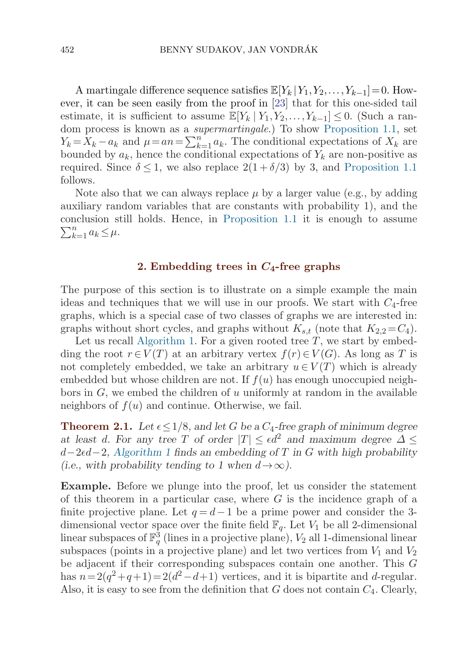<span id="page-7-0"></span>A martingale difference sequence satisfies  $\mathbb{E}[Y_k | Y_1, Y_2, \ldots, Y_{k-1}] = 0$ . However, it can be seen easily from the proof in [\[23\]](#page-25-0) that for this one-sided tail estimate, it is sufficient to assume  $\mathbb{E}[Y_k | Y_1, Y_2, \ldots, Y_{k-1}] \leq 0$ . (Such a random process is known as a *supermartingale*.) To show [Proposition 1.1,](#page-6-0) set  $Y_k = X_k - a_k$  and  $\mu = an = \sum_{k=1}^n a_k$ . The conditional expectations of  $X_k$  are bounded by  $a_k$ , hence the conditional expectations of  $Y_k$  are pop-positive as bounded by  $a_k$ , hence the conditional expectations of  $Y_k$  are non-positive as required. Since  $\delta \leq 1$ , we also replace  $2(1+\delta/3)$  by 3, and [Proposition 1.1](#page-6-0) follows.

Note also that we can always replace  $\mu$  by a larger value (e.g., by adding auxiliary random variables that are constants with probability 1), and the conclusion still holds. Hence, in [Proposition 1.1](#page-6-0) it is enough to assume  $\sum_{k=1}^n a_k \leq \mu.$ 

## **2. Embedding trees in** *C***4-free graphs**

The purpose of this section is to illustrate on a simple example the main ideas and techniques that we will use in our proofs. We start with  $C_4$ -free graphs, which is a special case of two classes of graphs we are interested in: graphs without short cycles, and graphs without  $K_{s,t}$  (note that  $K_{2,2}=C_4$ ).

Let us recall [Algorithm 1](#page-5-0). For a given rooted tree  $T$ , we start by embedding the root  $r \in V(T)$  at an arbitrary vertex  $f(r) \in V(G)$ . As long as T is not completely embedded, we take an arbitrary  $u \in V(T)$  which is already embedded but whose children are not. If  $f(u)$  has enough unoccupied neighbors in  $G$ , we embed the children of u uniformly at random in the available neighbors of  $f(u)$  and continue. Otherwise, we fail.

**Theorem 2.1.** Let  $\epsilon \leq 1/8$ , and let G be a  $C_4$ -free graph of minimum degree *at least d. For any tree* T *of order*  $|T| \leq \epsilon d^2$  *and maximum degree*  $\Delta \leq$ d−2d−2*, [Algorithm 1](#page-5-0) finds an embedding of* T *in* G *with high probability (i.e., with probability tending to 1 when*  $d \rightarrow \infty$ ).

**Example.** Before we plunge into the proof, let us consider the statement of this theorem in a particular case, where  $G$  is the incidence graph of a finite projective plane. Let  $q = d - 1$  be a prime power and consider the 3dimensional vector space over the finite field  $\mathbb{F}_q$ . Let  $V_1$  be all 2-dimensional linear subspaces of  $\mathbb{F}_q^3$  (lines in a projective plane),  $V_2$  all 1-dimensional linear<br>subspaces (points in a projective plane) and let two vertices from  $V_1$  and  $V_2$ subspaces (points in a projective plane) and let two vertices from  $V_1$  and  $V_2$ be adjacent if their corresponding subspaces contain one another. This G has  $n= 2(q^2+q+1)= 2(d^2-d+1)$  vertices, and it is bipartite and d-regular. Also, it is easy to see from the definition that G does not contain  $C_4$ . Clearly,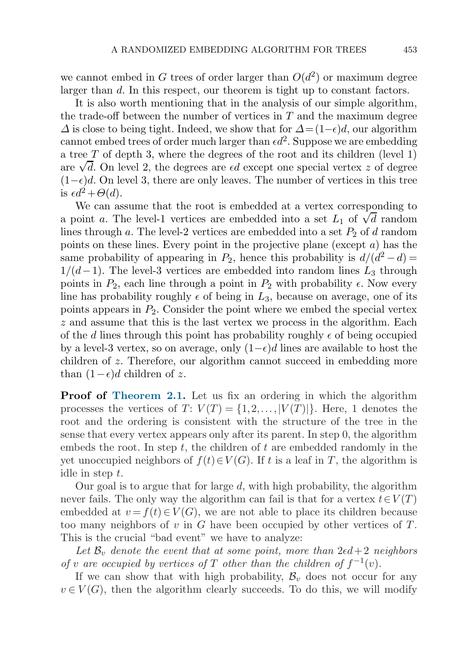we cannot embed in G trees of order larger than  $O(d^2)$  or maximum degree larger than d. In this respect, our theorem is tight up to constant factors.

It is also worth mentioning that in the analysis of our simple algorithm, the trade-off between the number of vertices in  $T$  and the maximum degree  $\Delta$  is close to being tight. Indeed, we show that for  $\Delta = (1-\epsilon)d$ , our algorithm cannot embed trees of order much larger than  $\epsilon d^2$ . Suppose we are embedding a tree  $T$  of depth 3, where the degrees of the root and its children (level 1) a tree 1 or depth 3, where the degrees or the root and its children (level 1) are  $\sqrt{d}$ . On level 2, the degrees are  $\epsilon d$  except one special vertex z of degree  $(1-\epsilon)d$ . On level 3, there are only leaves. The number of vertices in this tree is  $\epsilon d^2 + \Theta(d)$ .

We can assume that the root is embedded at a vertex corresponding to we can assume that the root is embedded at a vertex corresponding to<br>a point a. The level-1 vertices are embedded into a set  $L_1$  of  $\sqrt{d}$  random<br>lines through a The level 2 vertices are embedded into a set B of d pard lines through a. The level-2 vertices are embedded into a set  $P_2$  of d random points on these lines. Every point in the projective plane (except a) has the same probability of appearing in  $P_2$ , hence this probability is  $d/(d^2 - d) =$  $1/(d-1)$ . The level-3 vertices are embedded into random lines  $L_3$  through points in  $P_2$ , each line through a point in  $P_2$  with probability  $\epsilon$ . Now every line has probability roughly  $\epsilon$  of being in  $L_3$ , because on average, one of its points appears in  $P_2$ . Consider the point where we embed the special vertex z and assume that this is the last vertex we process in the algorithm. Each of the d lines through this point has probability roughly  $\epsilon$  of being occupied by a level-3 vertex, so on average, only  $(1-\epsilon)d$  lines are available to host the children of z. Therefore, our algorithm cannot succeed in embedding more than  $(1-\epsilon)d$  children of z.

**Proof of [Theorem 2.1](#page-7-0).** Let us fix an ordering in which the algorithm processes the vertices of  $T: V(T) = \{1, 2, ..., |V(T)|\}$ . Here, 1 denotes the root and the ordering is consistent with the structure of the tree in the sense that every vertex appears only after its parent. In step 0, the algorithm embeds the root. In step t, the children of t are embedded randomly in the yet unoccupied neighbors of  $f(t) \in V(G)$ . If t is a leaf in T, the algorithm is idle in step t.

Our goal is to argue that for large  $d$ , with high probability, the algorithm never fails. The only way the algorithm can fail is that for a vertex  $t \in V(T)$ embedded at  $v = f(t) \in V(G)$ , we are not able to place its children because too many neighbors of  $v$  in  $G$  have been occupied by other vertices of  $T$ . This is the crucial "bad event" we have to analyze:

Let  $\mathcal{B}_v$  *denote the event that at some point, more than*  $2\epsilon d + 2$  *neighbors of* v are occupied by vertices of T other than the children of  $f^{-1}(v)$ .

If we can show that with high probability,  $\mathcal{B}_v$  does not occur for any  $v \in V(G)$ , then the algorithm clearly succeeds. To do this, we will modify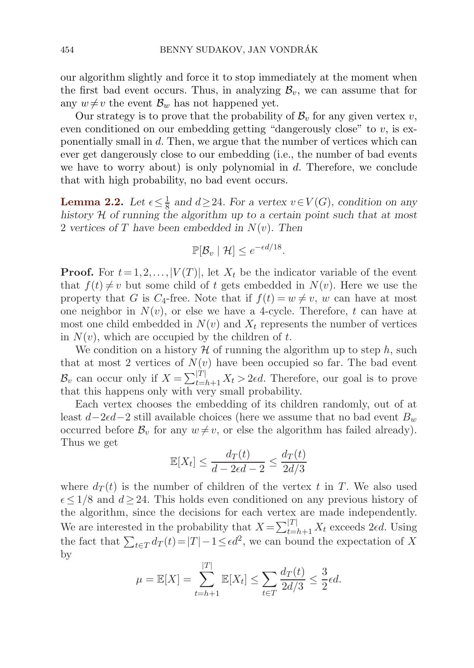<span id="page-9-0"></span>our algorithm slightly and force it to stop immediately at the moment when the first bad event occurs. Thus, in analyzing  $\mathcal{B}_v$ , we can assume that for any  $w \neq v$  the event  $\mathcal{B}_w$  has not happened yet.

Our strategy is to prove that the probability of  $\mathcal{B}_v$  for any given vertex v, even conditioned on our embedding getting "dangerously close" to  $v$ , is exponentially small in d. Then, we argue that the number of vertices which can ever get dangerously close to our embedding (i.e., the number of bad events we have to worry about) is only polynomial in  $d$ . Therefore, we conclude that with high probability, no bad event occurs.

**Lemma 2.2.** Let  $\epsilon \leq \frac{1}{8}$  and  $d \geq 24$ . For a vertex  $v \in V(G)$ , condition on any history  $H$  of running the algorithm up to a certain point such that at most *history* H *of running the algorithm up to a certain point such that at most* 2 *vertices of* T *have been embedded in* N(v)*. Then*

$$
\mathbb{P}[\mathcal{B}_v \mid \mathcal{H}] \le e^{-\epsilon d/18}.
$$

**Proof.** For  $t = 1, 2, \ldots, |V(T)|$ , let  $X_t$  be the indicator variable of the event that  $f(t) \neq v$  but some child of t gets embedded in  $N(v)$ . Here we use the property that G is  $C_4$ -free. Note that if  $f(t) = w \neq v$ , w can have at most one neighbor in  $N(v)$ , or else we have a 4-cycle. Therefore, t can have at most one child embedded in  $N(v)$  and  $X_t$  represents the number of vertices in  $N(v)$ , which are occupied by the children of t.

We condition on a history  $H$  of running the algorithm up to step h, such that at most 2 vertices of  $N(v)$  have been occupied so far. The bad event  $\mathcal{B}_v$  can occur only if  $X = \sum_{t=h+1}^{|\hat{T}|} X_t > 2\epsilon d$ . Therefore, our goal is to prove that this happens only with very small probability that this happens only with very small probability.

Each vertex chooses the embedding of its children randomly, out of at least  $d-2\epsilon d-2$  still available choices (here we assume that no bad event  $B_w$ occurred before  $\mathcal{B}_v$  for any  $w \neq v$ , or else the algorithm has failed already). Thus we get

$$
\mathbb{E}[X_t] \le \frac{d_T(t)}{d - 2\epsilon d - 2} \le \frac{d_T(t)}{2d/3}
$$

where  $d_T(t)$  is the number of children of the vertex t in T. We also used  $\epsilon \leq 1/8$  and  $d \geq 24$ . This holds even conditioned on any previous history of the algorithm, since the decisions for each vertex are made independently. We are interested in the probability that  $X = \sum_{t=h+1}^{|T|} X_t$  exceeds 2*ed*. Using<br>the fact that  $\sum_{t=1}^{|T|} \frac{d(x_t)-T}{|T|} = 1 \leq \epsilon d^2$  we can bound the expectation of Y the fact that  $\sum_{t \in T} d_T(t) = |T| - 1 \le \epsilon d^2$ , we can bound the expectation of X by

$$
\mu = \mathbb{E}[X] = \sum_{t=h+1}^{|T|} \mathbb{E}[X_t] \le \sum_{t \in T} \frac{d_T(t)}{2d/3} \le \frac{3}{2} \epsilon d.
$$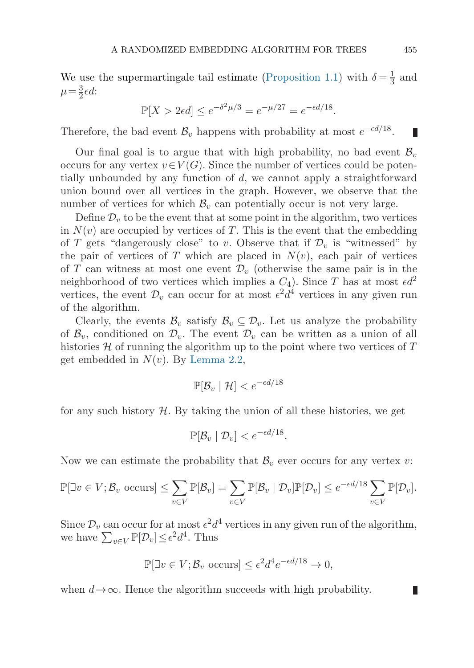We use the supermartingale tail estimate [\(Proposition 1.1](#page-6-0)) with  $\delta = \frac{1}{3}$  and  $\mu = \frac{3}{3}d$ .  $\mu = \frac{3}{2}\epsilon d$ :

$$
\mathbb{P}[X > 2\epsilon d] \le e^{-\delta^2 \mu/3} = e^{-\mu/27} = e^{-\epsilon d/18}.
$$

Therefore, the bad event  $\mathcal{B}_v$  happens with probability at most  $e^{-\epsilon d/18}$ .

Our final goal is to argue that with high probability, no bad event  $\mathcal{B}_v$ occurs for any vertex  $v \in V(G)$ . Since the number of vertices could be potentially unbounded by any function of d, we cannot apply a straightforward union bound over all vertices in the graph. However, we observe that the number of vertices for which  $\mathcal{B}_v$  can potentially occur is not very large.

Define  $\mathcal{D}_v$  to be the event that at some point in the algorithm, two vertices in  $N(v)$  are occupied by vertices of T. This is the event that the embedding of T gets "dangerously close" to v. Observe that if  $\mathcal{D}_v$  is "witnessed" by the pair of vertices of T which are placed in  $N(v)$ , each pair of vertices of T can witness at most one event  $\mathcal{D}_{v}$  (otherwise the same pair is in the neighborhood of two vertices which implies a  $C_4$ ). Since T has at most  $\epsilon d^2$ vertices, the event  $\mathcal{D}_v$  can occur for at most  $\epsilon^2 d^4$  vertices in any given run of the algorithm.

Clearly, the events  $\mathcal{B}_v$  satisfy  $\mathcal{B}_v \subseteq \mathcal{D}_v$ . Let us analyze the probability of  $\mathcal{B}_v$ , conditioned on  $\mathcal{D}_v$ . The event  $\mathcal{D}_v$  can be written as a union of all histories  $\mathcal H$  of running the algorithm up to the point where two vertices of  $T$ get embedded in  $N(v)$ . By [Lemma 2.2,](#page-9-0)

$$
\mathbb{P}[\mathcal{B}_v \mid \mathcal{H}] < e^{-\epsilon d/18}
$$

for any such history  $H$ . By taking the union of all these histories, we get

$$
\mathbb{P}[\mathcal{B}_v \mid \mathcal{D}_v] < e^{-\epsilon d/18}.
$$

Now we can estimate the probability that  $\mathcal{B}_v$  ever occurs for any vertex v:

$$
\mathbb{P}[\exists v \in V; \mathcal{B}_v \text{ occurs}] \le \sum_{v \in V} \mathbb{P}[\mathcal{B}_v] = \sum_{v \in V} \mathbb{P}[\mathcal{B}_v \mid \mathcal{D}_v] \mathbb{P}[\mathcal{D}_v] \le e^{-\epsilon d/18} \sum_{v \in V} \mathbb{P}[\mathcal{D}_v].
$$

Since  $\mathcal{D}_v$  can occur for at most  $\epsilon^2 d^4$  vertices in any given run of the algorithm, we have  $\sum_{v \in V} \mathbb{P}[\mathcal{D}_v] \leq \epsilon^2 d^4$ . Thus

$$
\mathbb{P}[\exists v \in V; \mathcal{B}_v \text{ occurs}] \le \epsilon^2 d^4 e^{-\epsilon d/18} \to 0,
$$

when  $d \rightarrow \infty$ . Hence the algorithm succeeds with high probability.

Ш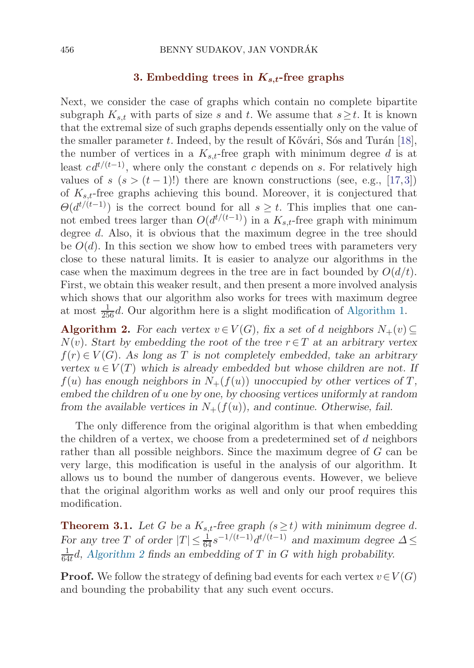#### **3. Embedding trees in** *Ks,t***-free graphs**

<span id="page-11-0"></span>Next, we consider the case of graphs which contain no complete bipartite subgraph  $K_{s,t}$  with parts of size s and t. We assume that  $s \geq t$ . It is known that the extremal size of such graphs depends essentially only on the value of the smaller parameter t. Indeed, by the result of Kővári, Sós and Turán [\[18](#page-24-0)], the number of vertices in a  $K_{s,t}$ -free graph with minimum degree d is at least  $c d^{t/(t-1)}$ , where only the constant c depends on s. For relatively high values of  $s$   $(s > (t-1)!)$  there are known constructions (see, e.g., [[17](#page-24-0),[3\]](#page-24-0)) of  $K_{s,t}$ -free graphs achieving this bound. Moreover, it is conjectured that  $\Theta(d^{t/(t-1)})$  is the correct bound for all  $s \geq t$ . This implies that one cannot embed trees larger than  $O(d^{t/(t-1)})$  in a  $K_{s,t}$ -free graph with minimum degree d. Also, it is obvious that the maximum degree in the tree should be  $O(d)$ . In this section we show how to embed trees with parameters very close to these natural limits. It is easier to analyze our algorithms in the case when the maximum degrees in the tree are in fact bounded by  $O(d/t)$ . First, we obtain this weaker result, and then present a more involved analysis which shows that our algorithm also works for trees with maximum degree at most  $\frac{1}{256}d$ . Our algorithm here is a slight modification of [Algorithm 1.](#page-5-0)

**Algorithm 2.** For each vertex  $v \in V(G)$ , fix a set of d neighbors  $N_+(v) \subseteq$ N(v)*. Start by embedding the root of the tree* r∈T *at an arbitrary vertex* f(r) ∈ V (G)*. As long as* T *is not completely embedded, take an arbitrary vertex*  $u \in V(T)$  *which is already embedded but whose children are not. If*  $f(u)$  has enough neighbors in  $N_+(f(u))$  unoccupied by other vertices of T, *embed the children of* u *one by one, by choosing vertices uniformly at random from the available vertices in*  $N_{+}(f(u))$ *, and continue. Otherwise, fail.* 

The only difference from the original algorithm is that when embedding the children of a vertex, we choose from a predetermined set of d neighbors rather than all possible neighbors. Since the maximum degree of G can be very large, this modification is useful in the analysis of our algorithm. It allows us to bound the number of dangerous events. However, we believe that the original algorithm works as well and only our proof requires this modification.

**Theorem 3.1.** Let G be a  $K_{s,t}$ -free graph  $(s \geq t)$  with minimum degree d. *For any tree T of order*  $|T| \leq \frac{1}{64} s^{-1/(t-1)} d^{t/(t-1)}$  *and maximum degree*  $\Delta \leq$ <br> $\frac{1}{64} d^{-1}$  *Algorithm 2 finds an embedding of T in G with high probability*  $\frac{1}{64t}d$ , Algorithm 2 finds an embedding of T in G with high probability.

**Proof.** We follow the strategy of defining bad events for each vertex  $v \in V(G)$ and bounding the probability that any such event occurs.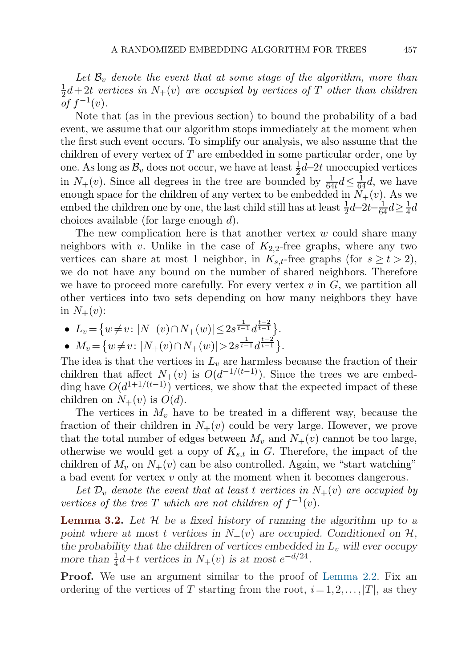Let  $\mathcal{B}_v$  denote the event that at some stage of the algorithm, more than  $\frac{1}{2}d+2t$  *vertices in*  $N_+(v)$  *are occupied by vertices of*  $T$  *other than children* of  $f^{-1}(v)$  $\int_{0}^{1} f^{-1}(v)$ .

Note that (as in the previous section) to bound the probability of a bad event, we assume that our algorithm stops immediately at the moment when the first such event occurs. To simplify our analysis, we also assume that the children of every vertex of  $T$  are embedded in some particular order, one by one. As long as  $\mathcal{B}_v$  does not occur, we have at least  $\frac{1}{2}d-2t$  unoccupied vertices<br>in  $N_v(v)$ . Since all degrees in the tree are bounded by  $\frac{1}{2}d < \frac{1}{2}d$ , we have in  $N_{+}(v)$ . Since all degrees in the tree are bounded by  $\frac{1}{64t}d \leq \frac{1}{64}d$ , we have enough space for the children of any vertex to be embedded in  $N_{+}(v)$ . As we enough space for the children of any vertex to be embedded in  $N_{+}(v)$ . As we embed the children one by one, the last child still has at least  $\frac{1}{2}d-2t-\frac{1}{64}d \geq \frac{1}{4}d$ <br>choices available (for large enough d) choices available (for large enough  $d$ ).

The new complication here is that another vertex  $w$  could share many neighbors with v. Unlike in the case of  $K_{2,2}$ -free graphs, where any two vertices can share at most 1 neighbor, in  $K_{s,t}$ -free graphs (for  $s \ge t > 2$ ), we do not have any bound on the number of shared neighbors. Therefore we have to proceed more carefully. For every vertex  $v$  in  $G$ , we partition all other vertices into two sets depending on how many neighbors they have in  $N_{+}(v)$ :

• 
$$
L_v = \{w \neq v : |N_+(v) \cap N_+(w)| \leq 2s^{\frac{1}{t-1}} d^{\frac{t-2}{t-1}}_{\frac{t-2}{t-2}}\}.
$$

• 
$$
M_v = \{w \neq v : |N_+(v) \cap N_+(w)| > 2s^{\frac{1}{t-1}}d^{\frac{t-2}{t-1}}\}.
$$

The idea is that the vertices in  $L_v$  are harmless because the fraction of their children that affect  $N_+(v)$  is  $O(d^{-1/(t-1)})$ . Since the trees we are embedding have  $O(d^{1+1/(t-1)})$  vertices, we show that the expected impact of these children on  $N_{+}(v)$  is  $O(d)$ .

The vertices in  $M_v$  have to be treated in a different way, because the fraction of their children in  $N_{+}(v)$  could be very large. However, we prove that the total number of edges between  $M_v$  and  $N_+(v)$  cannot be too large, otherwise we would get a copy of  $K_{s,t}$  in G. Therefore, the impact of the children of  $M_v$  on  $N_+(v)$  can be also controlled. Again, we "start watching" a bad event for vertex v only at the moment when it becomes dangerous.

Let  $\mathcal{D}_v$  *denote the event that at least t vertices in*  $N_+(v)$  *are occupied by vertices of the tree* T *which are not children of*  $f^{-1}(v)$ *.* 

**Lemma 3.2.** *Let* H *be a fixed history of running the algorithm up to a* point where at most t vertices in  $N_{+}(v)$  are occupied. Conditioned on  $H$ , the probability that the children of vertices embedded in  $L_v$  will ever occupy *more than*  $\frac{1}{4}d + t$  *vertices in*  $N_+(v)$  *is at most*  $e^{-d/24}$ .

**Proof.** We use an argument similar to the proof of [Lemma 2.2](#page-9-0). Fix an ordering of the vertices of T starting from the root,  $i=1,2,\ldots,|T|$ , as they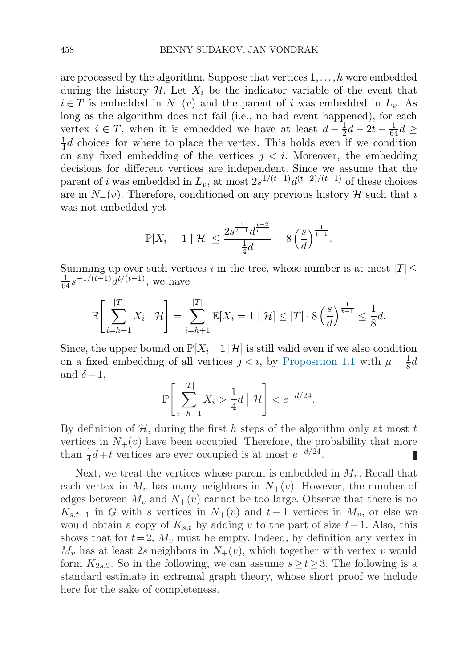are processed by the algorithm. Suppose that vertices  $1, \ldots, h$  were embedded during the history  $\mathcal{H}$ . Let  $X_i$  be the indicator variable of the event that  $i \in T$  is embedded in  $N_{+}(v)$  and the parent of i was embedded in  $L_{v}$ . As long as the algorithm does not fail (i.e., no bad event happened), for each vertex  $i \in T$ , when it is embedded we have at least  $d - \frac{1}{2}d - 2t - \frac{1}{64}d \ge$ <br> $\frac{1}{2}d$  choices for where to place the vertex. This holds even if we condition  $\frac{1}{4}d$  choices for where to place the vertex. This holds even if we condition<br>on any fixed embedding of the vertices  $i < i$  Moreover, the embedding on any fixed embedding of the vertices  $j < i$ . Moreover, the embedding decisions for different vertices are independent. Since we assume that the parent of i was embedded in  $L_v$ , at most  $2s^{1/(t-1)}d^{(t-2)/(t-1)}$  of these choices are in  $N_{+}(v)$ . Therefore, conditioned on any previous history H such that i was not embedded yet

$$
\mathbb{P}[X_i = 1 \mid \mathcal{H}] \le \frac{2s^{\frac{1}{t-1}} d^{\frac{t-2}{t-1}}}{\frac{1}{4}d} = 8 \left(\frac{s}{d}\right)^{\frac{1}{t-1}}.
$$

Summing up over such vertices i in the tree, whose number is at most  $|T| \leq$  $\frac{1}{64} s^{-1/(t-1)} d^{t/(t-1)}$ , we have

$$
\mathbb{E}\left[\sum_{i=h+1}^{|T|} X_i \mid \mathcal{H}\right] = \sum_{i=h+1}^{|T|} \mathbb{E}[X_i = 1 \mid \mathcal{H}] \leq |T| \cdot 8\left(\frac{s}{d}\right)^{\frac{1}{t-1}} \leq \frac{1}{8}d.
$$

Since, the upper bound on  $\mathbb{P}[X_i = 1 | \mathcal{H}]$  is still valid even if we also condition on a fixed embedding of all vertices  $j < i$ , by [Proposition 1.1](#page-6-0) with  $\mu = \frac{1}{8}d$ <br>and  $\delta = 1$ and  $\delta = 1$ ,

$$
\mathbb{P}\left[\sum_{i=h+1}^{|T|} X_i > \frac{1}{4}d \mid \mathcal{H}\right] < e^{-d/24}.
$$

By definition of  $H$ , during the first h steps of the algorithm only at most t vertices in  $N_{+}(v)$  have been occupied. Therefore, the probability that more than  $\frac{1}{4}d+t$  vertices are ever occupied is at most  $e^{-d/24}$ . than  $\frac{1}{4}d+t$  vertices are ever occupied is at most  $e^{-d/24}$ .

Next, we treat the vertices whose parent is embedded in  $M_v$ . Recall that each vertex in  $M_v$  has many neighbors in  $N_+(v)$ . However, the number of edges between  $M_v$  and  $N_+(v)$  cannot be too large. Observe that there is no  $K_{s,t-1}$  in G with s vertices in  $N_+(v)$  and  $t-1$  vertices in  $M_v$ , or else we would obtain a copy of  $K_{s,t}$  by adding v to the part of size  $t-1$ . Also, this shows that for  $t = 2$ ,  $M_v$  must be empty. Indeed, by definition any vertex in  $M_v$  has at least 2s neighbors in  $N_+(v)$ , which together with vertex v would form  $K_{2s,2}$ . So in the following, we can assume  $s \ge t \ge 3$ . The following is a standard estimate in extremal graph theory, whose short proof we include here for the sake of completeness.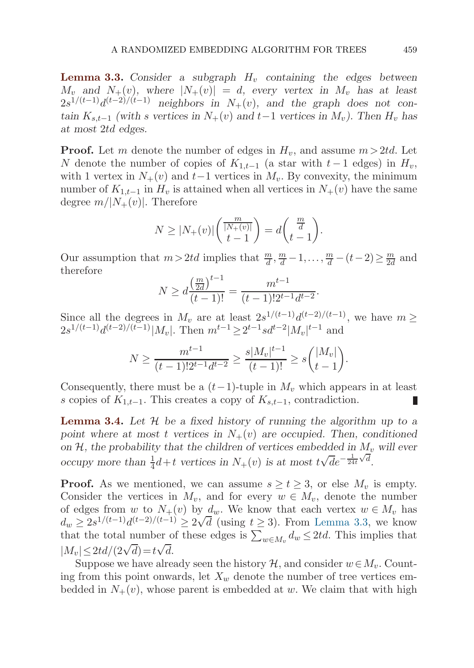<span id="page-14-0"></span>**Lemma 3.3.** Consider a subgraph  $H<sub>v</sub>$  containing the edges between  $M_v$  and  $N_+(v)$ , where  $|N_+(v)| = d$ , every vertex in  $M_v$  has at least  $2s^{1/(t-1)}d^{(t-2)/(t-1)}$  *neighbors in*  $N_+(v)$ *, and the graph does not con* $t \sin K_{s,t-1}$  *(with s vertices in*  $N_+(v)$  *and*  $t-1$  *vertices in*  $M_v$ *). Then*  $H_v$  *has at most* 2td *edges.*

**Proof.** Let m denote the number of edges in  $H_v$ , and assume  $m > 2td$ . Let N denote the number of copies of  $K_{1,t-1}$  (a star with  $t-1$  edges) in  $H_v$ , with 1 vertex in  $N_{+}(v)$  and  $t-1$  vertices in  $M_v$ . By convexity, the minimum number of  $K_{1,t-1}$  in  $H_v$  is attained when all vertices in  $N_+(v)$  have the same degree  $m/|N_+(v)|$ . Therefore

$$
N \ge |N_{+}(v)| \left( \frac{\frac{m}{|N_{+}(v)|}}{t-1} \right) = d \left( \frac{\frac{m}{d}}{t-1} \right).
$$

Our assumption that  $m > 2td$  implies that  $\frac{m}{d}, \frac{m}{d} - 1, \ldots, \frac{m}{d} - (t - 2) \ge \frac{m}{2d}$  and therefore therefore

$$
N \ge d \frac{\left(\frac{m}{2d}\right)^{t-1}}{(t-1)!} = \frac{m^{t-1}}{(t-1)! 2^{t-1} d^{t-2}}.
$$

Since all the degrees in  $M_v$  are at least  $2s^{1/(t-1)}d^{(t-2)/(t-1)}$ , we have  $m \geq$  $2s^{1/(t-1)}d^{(t-2)/(t-1)}|M_v|$ . Then  $m^{t-1} \geq 2^{t-1}sd^{t-2}|M_v|^{t-1}$  and

$$
N \ge \frac{m^{t-1}}{(t-1)!2^{t-1}d^{t-2}} \ge \frac{s|M_v|^{t-1}}{(t-1)!} \ge s\binom{|M_v|}{t-1}.
$$

Consequently, there must be a  $(t-1)$ -tuple in  $M_v$  which appears in at least s copies of  $K_{1,t-1}$ . This creates a copy of  $K_{s,t-1}$ , contradiction.

**Lemma 3.4.** *Let* H *be a fixed history of running the algorithm up to a* point where at most t vertices in  $N_{+}(v)$  are occupied. Then, conditioned on  $H$ , the probability that the children of vertices embedded in  $M_v$  will ever occupy more than  $\frac{1}{4}d+t$  vertices in  $N_+(v)$  is at most  $t\sqrt{d}e^{-\frac{1}{24t}\sqrt{d}}$ .

**Proof.** As we mentioned, we can assume  $s \ge t \ge 3$ , or else  $M_v$  is empty. Consider the vertices in  $M_v$ , and for every  $w \in M_v$ , denote the number of edges from w to  $N_+(v)$  by  $d_w$ . We know that each vertex  $w \in M_v$  has  $d_w \geq 2s^{1/(t-1)}d^{(t-2)/(t-1)} \geq 2\sqrt{d}$  (using  $t \geq 3$ ). From Lemma 3.3, we know that the total number of these edges is  $\sum_{w \in M_v} d_w \leq 2td$ . This implies that  $|M_v| \leq 2td/(2\sqrt{d})=t\sqrt{d}.$ 

Suppose we have already seen the history  $\mathcal{H}$ , and consider  $w \in M_v$ . Counting from this point onwards, let  $X_w$  denote the number of tree vertices embedded in  $N_{+}(v)$ , whose parent is embedded at w. We claim that with high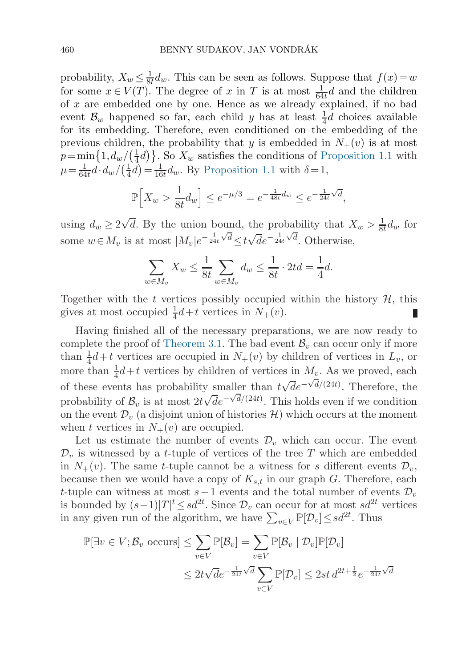probability,  $X_w \leq \frac{1}{8t} d_w$ . This can be seen as follows. Suppose that  $f(x) = w$ <br>for some  $x \in V(T)$ . The degree of x in T is at most  $\frac{1}{4} d$  and the children for some  $x \in V(T)$ . The degree of x in T is at most  $\frac{1}{64t}d$  and the children<br>of x are embedded one by one. Hence as we already explained if no bad of  $x$  are embedded one by one. Hence as we already explained, if no bad event  $\mathcal{B}_w$  happened so far, each child y has at least  $\frac{1}{4}d$  choices available<br>for its embedding Therefore, even conditioned on the embedding of the for its embedding. Therefore, even conditioned on the embedding of the previous children, the probability that y is embedded in  $N_{+}(v)$  is at most  $p = \min\{1, d_w / (\frac{1}{4}d)\}\.$  So  $X_w$  satisfies the conditions of [Proposition 1.1](#page-6-0) with  $d - 1$  $\mu = \frac{1}{64t} \tilde{d} \cdot d_w / (\frac{1}{4} \tilde{d}) = \frac{1}{16t} d_w$ . By [Proposition 1.1](#page-6-0) with  $\delta = 1$ ,

$$
\mathbb{P}\Big[X_w > \frac{1}{8t}d_w\Big] \le e^{-\mu/3} = e^{-\frac{1}{48t}d_w} \le e^{-\frac{1}{24t}\sqrt{d}},
$$

using  $d_w \ge 2\sqrt{d}$ . By the union bound, the probability that  $X_w > \frac{1}{8t}d_w$  for some  $w \in M_v$  is at most  $|M_v|e^{-\frac{1}{24t}\sqrt{d}} \le t\sqrt{d}e^{-\frac{1}{24t}\sqrt{d}}$ . Otherwise,

$$
\sum_{w \in M_v} X_w \le \frac{1}{8t} \sum_{w \in M_v} d_w \le \frac{1}{8t} \cdot 2td = \frac{1}{4}d.
$$

Together with the t vertices possibly occupied within the history  $H$ , this gives at most occupied  $\frac{1}{4}d+t$  vertices in  $N_+(v)$ .

Having finished all of the necessary preparations, we are now ready to complete the proof of [Theorem 3.1](#page-11-0). The bad event  $\mathcal{B}_v$  can occur only if more than  $\frac{1}{4}d+t$  vertices are occupied in  $N_+(v)$  by children of vertices in  $L_v$ , or<br>more than  $\frac{1}{4}d+t$  vertices by children of vertices in  $M$ . As we proved each more than  $\frac{1}{4}d+t$  vertices by children of vertices in  $M_v$ . As we proved, each of these events has probability smaller than  $t\sqrt{d}e^{-\sqrt{d}/(24t)}$ . Therefore, the probability of  $\mathcal{B}_v$  is at most  $2t\sqrt{d}e^{-\sqrt{d}/(24t)}$ . This holds even if we condition on the event  $\mathcal{D}_{v}$  (a disjoint union of histories  $\mathcal{H}$ ) which occurs at the moment when t vertices in  $N_{+}(v)$  are occupied.

Let us estimate the number of events  $\mathcal{D}_v$  which can occur. The event  $\mathcal{D}_v$  is witnessed by a *t*-tuple of vertices of the tree T which are embedded in  $N_+(v)$ . The same t-tuple cannot be a witness for s different events  $\mathcal{D}_v$ , because then we would have a copy of  $K_{s,t}$  in our graph G. Therefore, each t-tuple can witness at most  $s-1$  events and the total number of events  $\mathcal{D}_v$ is bounded by  $(s-1)|T|^t \le sd^{2t}$ . Since  $\mathcal{D}_v$  can occur for at most  $sd^{2t}$  vertices in any given run of the algorithm, we have  $\sum_{v \in V} \mathbb{P}[\mathcal{D}_v] \leq sd^{2t}$ . Thus

$$
\mathbb{P}[\exists v \in V; \mathcal{B}_v \text{ occurs}] \le \sum_{v \in V} \mathbb{P}[\mathcal{B}_v] = \sum_{v \in V} \mathbb{P}[\mathcal{B}_v \mid \mathcal{D}_v] \mathbb{P}[\mathcal{D}_v]
$$
  

$$
\le 2t\sqrt{d}e^{-\frac{1}{24t}\sqrt{d}} \sum_{v \in V} \mathbb{P}[\mathcal{D}_v] \le 2st \, d^{2t + \frac{1}{2}} e^{-\frac{1}{24t}\sqrt{d}}
$$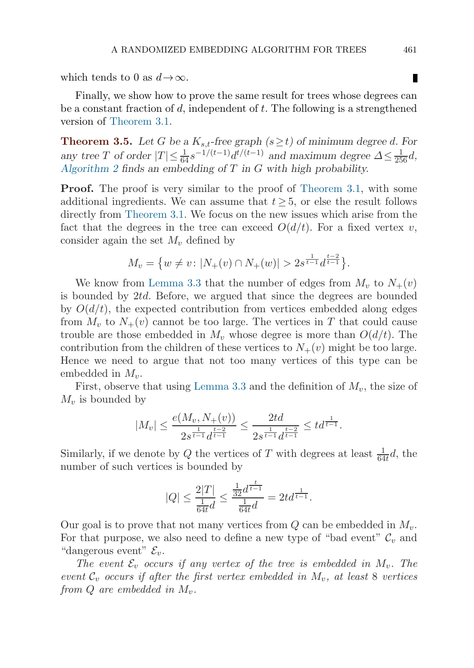which tends to 0 as  $d\rightarrow\infty$ .

Finally, we show how to prove the same result for trees whose degrees can be a constant fraction of d, independent of t. The following is a strengthened version of [Theorem 3.1](#page-11-0).

**Theorem 3.5.** *Let* G *be a*  $K_{s,t}$ -free graph ( $s \geq t$ ) of minimum degree d. For any tree *T* of order  $|T| \leq \frac{1}{64} s^{-1/(t-1)} d^{t/(t-1)}$  and maximum degree  $\Delta \leq \frac{1}{256} d$ ,<br>Algorithm 2 finds an embedding of *T* in *G* with high probability *[Algorithm 2](#page-11-0) finds an embedding of* T *in* G *with high probability.*

**Proof.** The proof is very similar to the proof of [Theorem 3.1](#page-11-0), with some additional ingredients. We can assume that  $t \geq 5$ , or else the result follows directly from [Theorem 3.1.](#page-11-0) We focus on the new issues which arise from the fact that the degrees in the tree can exceed  $O(d/t)$ . For a fixed vertex v, consider again the set  $M_v$  defined by

$$
M_v = \{ w \neq v : |N_+(v) \cap N_+(w)| > 2s^{\frac{1}{t-1}} d^{\frac{t-2}{t-1}} \}.
$$

We know from [Lemma 3.3](#page-14-0) that the number of edges from  $M_v$  to  $N_+(v)$ is bounded by  $2td$ . Before, we argued that since the degrees are bounded by  $O(d/t)$ , the expected contribution from vertices embedded along edges from  $M_v$  to  $N_+(v)$  cannot be too large. The vertices in T that could cause trouble are those embedded in  $M_v$  whose degree is more than  $O(d/t)$ . The contribution from the children of these vertices to  $N_{+}(v)$  might be too large. Hence we need to argue that not too many vertices of this type can be embedded in  $M_v$ .

First, observe that using [Lemma 3.3](#page-14-0) and the definition of  $M_v$ , the size of  $M_v$  is bounded by

$$
|M_v| \leq \frac{e(M_v, N_+(v))}{2s^{\frac{1}{t-1}}d^{\frac{t-2}{t-1}}} \leq \frac{2td}{2s^{\frac{1}{t-1}}d^{\frac{t-2}{t-1}}} \leq td^{\frac{1}{t-1}}.
$$

Similarly, if we denote by Q the vertices of T with degrees at least  $\frac{1}{64t}d$ , the number of such vertices is bounded by number of such vertices is bounded by

$$
|Q| \le \frac{2|T|}{\frac{1}{64t}d} \le \frac{\frac{1}{32}d^{\frac{t}{t-1}}}{\frac{1}{64t}d} = 2td^{\frac{1}{t-1}}.
$$

Our goal is to prove that not many vertices from  $Q$  can be embedded in  $M_v$ . For that purpose, we also need to define a new type of "bad event"  $\mathcal{C}_v$  and "dangerous event"  $\mathcal{E}_v$ .

*The event*  $\mathcal{E}_v$  *occurs if any vertex of the tree is embedded in*  $M_v$ . The *event*  $C_v$  *occurs if after the first vertex embedded in*  $M_v$ , *at least* 8 *vertices from*  $Q$  *are embedded in*  $M_v$ .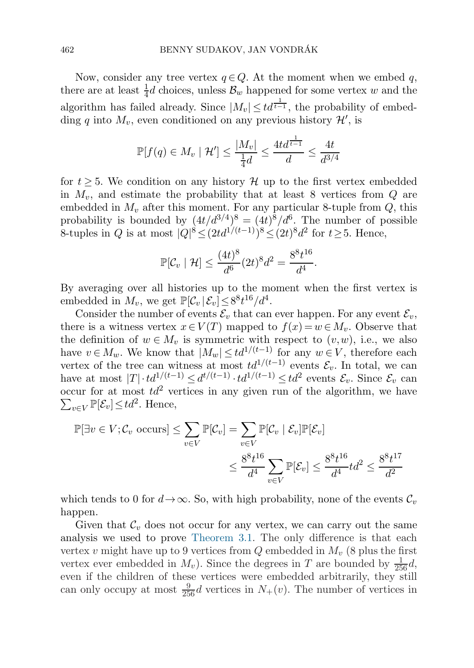Now, consider any tree vertex  $q \in Q$ . At the moment when we embed q, there are at least  $\frac{1}{4}d$  choices, unless  $\mathcal{B}_w$  happened for some vertex w and the algorithm has failed already. Since  $|M_v| \leq t d^{\frac{1}{t-1}}$ , the probability of embedding q into  $M_v$ , even conditioned on any previous history  $\mathcal{H}'$ , is

$$
\mathbb{P}[f(q) \in M_v \mid \mathcal{H}'] \le \frac{|M_v|}{\frac{1}{4}d} \le \frac{4td^{\frac{1}{t-1}}}{d} \le \frac{4t}{d^{3/4}}
$$

for  $t > 5$ . We condition on any history  $\mathcal{H}$  up to the first vertex embedded in  $M_v$ , and estimate the probability that at least 8 vertices from  $Q$  are embedded in  $M_v$  after this moment. For any particular 8-tuple from  $Q$ , this probability is bounded by  $(4t/d^{3/4})^8 = (4t)^8/d^6$ . The number of possible 8-tuples in Q is at most  $|Q|^8 \leq (2td^{1/(t-1)})^8 \leq (2t)^8d^2$  for  $t \geq 5$ . Hence,

$$
\mathbb{P}[\mathcal{C}_v \mid \mathcal{H}] \le \frac{(4t)^8}{d^6} (2t)^8 d^2 = \frac{8^8 t^{16}}{d^4}.
$$

By averaging over all histories up to the moment when the first vertex is embedded in  $M_v$ , we get  $\mathbb{P}[\mathcal{C}_v | \mathcal{E}_v] \leq 8^8 t^{16}/d^4$ .

Consider the number of events  $\mathcal{E}_v$  that can ever happen. For any event  $\mathcal{E}_v$ , there is a witness vertex  $x \in V(T)$  mapped to  $f(x) = w \in M_n$ . Observe that the definition of  $w \in M_v$  is symmetric with respect to  $(v, w)$ , i.e., we also have  $v \in M_w$ . We know that  $|M_w| \leq td^{1/(t-1)}$  for any  $w \in V$ , therefore each vertex of the tree can witness at most  $td^{1/(t-1)}$  events  $\mathcal{E}_v$ . In total, we can have at most  $|T| \cdot td^{1/(t-1)} \leq d^{t/(t-1)} \cdot td^{1/(t-1)} \leq td^2$  events  $\mathcal{E}_v$ . Since  $\mathcal{E}_v$  can occur for at most  $td^2$  vertices in any given run of the algorithm, we have  $\sum_{v\in V} \mathbb{P}[\mathcal{E}_v] \leq td^2$ . Hence,

$$
\mathbb{P}[\exists v \in V; \mathcal{C}_v \text{ occurs}] \le \sum_{v \in V} \mathbb{P}[\mathcal{C}_v] = \sum_{v \in V} \mathbb{P}[\mathcal{C}_v | \mathcal{E}_v] \mathbb{P}[\mathcal{E}_v]
$$
  

$$
\le \frac{8^8 t^{16}}{d^4} \sum_{v \in V} \mathbb{P}[\mathcal{E}_v] \le \frac{8^8 t^{16}}{d^4} t d^2 \le \frac{8^8 t^{17}}{d^2}
$$

which tends to 0 for  $d\rightarrow\infty$ . So, with high probability, none of the events  $\mathcal{C}_v$ happen.

Given that  $\mathcal{C}_v$  does not occur for any vertex, we can carry out the same analysis we used to prove [Theorem 3.1.](#page-11-0) The only difference is that each vertex v might have up to 9 vertices from  $Q$  embedded in  $M_v$  (8 plus the first vertex ever embedded in  $M_v$ ). Since the degrees in T are bounded by  $\frac{1}{256}d$ ,<br>even if the children of these vertices were embedded arbitrarily they still even if the children of these vertices were embedded arbitrarily, they still can only occupy at most  $\frac{9}{256}d$  vertices in  $N_+(v)$ . The number of vertices in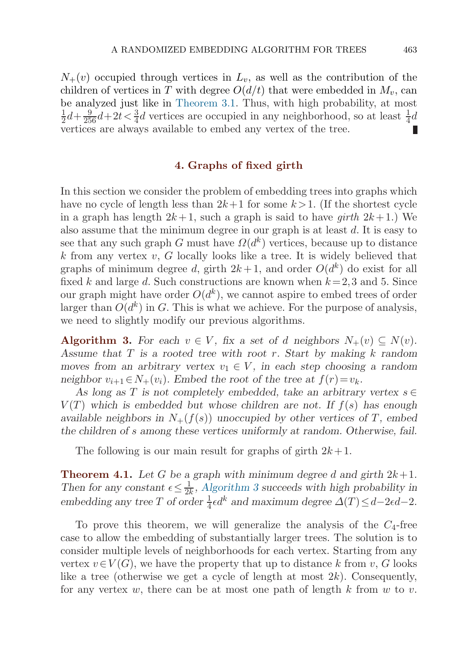<span id="page-18-0"></span> $N_{+}(v)$  occupied through vertices in  $L_v$ , as well as the contribution of the contribution of vertices in T with degree  $O(d/t)$  that were embedded in M, can children of vertices in T with degree  $O(d/t)$  that were embedded in  $M_v$ , can be analyzed just like in [Theorem 3.1.](#page-11-0) Thus, with high probability, at most  $\frac{1}{2}d + \frac{9}{256}d + 2t < \frac{3}{4}d$  vertices are occupied in any neighborhood, so at least  $\frac{1}{4}d$ <br>vertices are always available to embed any vertex of the tree vertices are always available to embed any vertex of the tree.

## **4. Graphs of fixed girth**

In this section we consider the problem of embedding trees into graphs which have no cycle of length less than  $2k+1$  for some  $k > 1$ . (If the shortest cycle in a graph has length  $2k+1$ , such a graph is said to have *girth*  $2k+1$ .) We also assume that the minimum degree in our graph is at least  $d$ . It is easy to see that any such graph G must have  $\Omega(d^k)$  vertices, because up to distance k from any vertex  $v, G$  locally looks like a tree. It is widely believed that graphs of minimum degree d, girth  $2k+1$ , and order  $O(d^k)$  do exist for all fixed k and large d. Such constructions are known when  $k = 2,3$  and 5. Since our graph might have order  $O(d^k)$ , we cannot aspire to embed trees of order larger than  $O(d^k)$  in G. This is what we achieve. For the purpose of analysis, we need to slightly modify our previous algorithms.

**Algorithm 3.** For each  $v \in V$ , fix a set of d neighbors  $N_+(v) \subseteq N(v)$ . *Assume that* T *is a rooted tree with root* r*. Start by making* k *random moves from an arbitrary vertex*  $v_1 \in V$ *, in each step choosing a random neighbor*  $v_{i+1} \in N_+(v_i)$ *. Embed the root of the tree at*  $f(r) = v_k$ *.* 

As long as T is not completely embedded, take an arbitrary vertex  $s \in$  $V(T)$  which is embedded but whose children are not. If  $f(s)$  has enough *available neighbors in*  $N_{+}(f(s))$  *unoccupied by other vertices of* T, embed *the children of* s *among these vertices uniformly at random. Otherwise, fail.*

The following is our main result for graphs of girth  $2k+1$ .

**Theorem 4.1.** Let G be a graph with minimum degree d and girth  $2k+1$ . *Then for any constant*  $\epsilon \leq \frac{1}{2k}$ , *Algorithm 3* succeeds with high probability in embedding any tree T of order  $\frac{1}{4} \epsilon d^k$  and maximum degree  $\Delta(T) \leq d-2\epsilon d-2$ *.* 

To prove this theorem, we will generalize the analysis of the  $C_4$ -free case to allow the embedding of substantially larger trees. The solution is to consider multiple levels of neighborhoods for each vertex. Starting from any vertex  $v \in V(G)$ , we have the property that up to distance k from v, G looks like a tree (otherwise we get a cycle of length at most  $2k$ ). Consequently, for any vertex w, there can be at most one path of length  $k$  from  $w$  to  $v$ .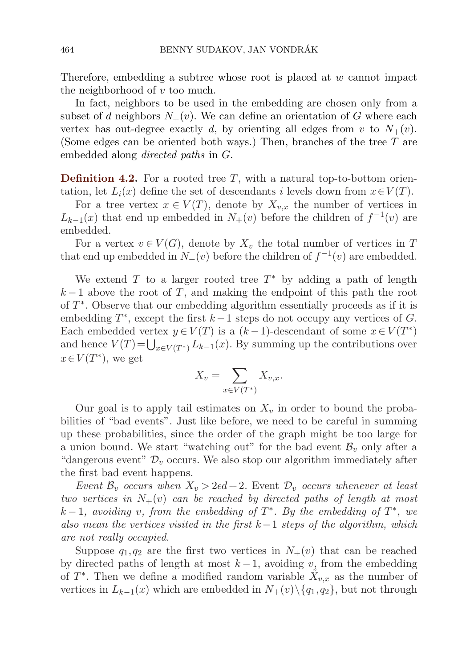Therefore, embedding a subtree whose root is placed at  $w$  cannot impact the neighborhood of  $v$  too much.

In fact, neighbors to be used in the embedding are chosen only from a subset of d neighbors  $N_+(v)$ . We can define an orientation of G where each vertex has out-degree exactly d, by orienting all edges from v to  $N_{+}(v)$ . (Some edges can be oriented both ways.) Then, branches of the tree  $T$  are embedded along *directed paths* in G.

**Definition 4.2.** For a rooted tree T, with a natural top-to-bottom orientation, let  $L_i(x)$  define the set of descendants i levels down from  $x \in V(T)$ .

For a tree vertex  $x \in V(T)$ , denote by  $X_{v,x}$  the number of vertices in  $L_{k-1}(x)$  that end up embedded in  $N_{+}(v)$  before the children of  $f^{-1}(v)$  are embedded.

For a vertex  $v \in V(G)$ , denote by  $X_v$  the total number of vertices in T that end up embedded in  $N_{+}(v)$  before the children of  $f^{-1}(v)$  are embedded.

We extend T to a larger rooted tree  $T^*$  by adding a path of length  $k-1$  above the root of T, and making the endpoint of this path the root of T∗. Observe that our embedding algorithm essentially proceeds as if it is embedding  $T^*$ , except the first  $k-1$  steps do not occupy any vertices of G. Each embedded vertex  $y \in V(T)$  is a  $(k-1)$ -descendant of some  $x \in V(T^*)$ and hence  $V(T) = \bigcup_{x \in V(T^*)} L_{k-1}(x)$ . By summing up the contributions over  $x \in V(T^*)$ , we get

$$
X_v = \sum_{x \in V(T^*)} X_{v,x}.
$$

Our goal is to apply tail estimates on  $X_v$  in order to bound the probabilities of "bad events". Just like before, we need to be careful in summing up these probabilities, since the order of the graph might be too large for a union bound. We start "watching out" for the bad event  $\mathcal{B}_v$  only after a "dangerous event"  $\mathcal{D}_v$  occurs. We also stop our algorithm immediately after the first bad event happens.

*Event*  $\mathcal{B}_v$  *occurs when*  $X_v > 2\epsilon d + 2$ *.* Event  $\mathcal{D}_v$  *occurs whenever at least two vertices in*  $N_{+}(v)$  *can be reached by directed paths of length at most* k − 1*, avoiding* v*, from the embedding of* T∗*. By the embedding of* T∗*, we also mean the vertices visited in the first* k−1 *steps of the algorithm, which are not really occupied.*

Suppose  $q_1, q_2$  are the first two vertices in  $N_+(v)$  that can be reached by directed paths of length at most  $k-1$ , avoiding v, from the embedding of  $T^*$ . Then we define a modified random variable  $X_{v,x}$  as the number of vertices in  $L_{k-1}(x)$  which are embedded in  $N_{+}(v)\setminus \{q_1,q_2\}$ , but not through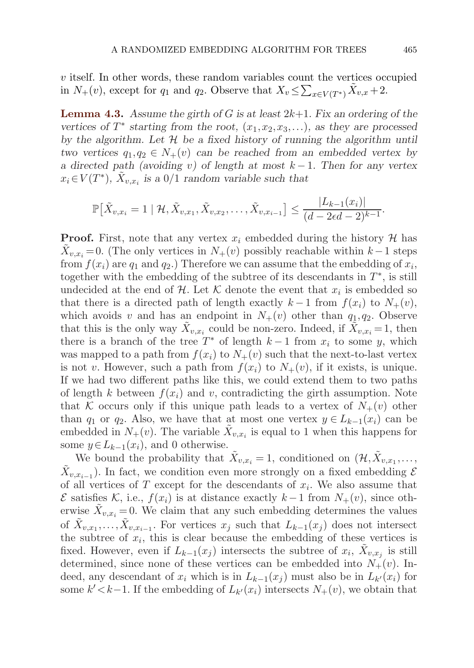<span id="page-20-0"></span>v itself. In other words, these random variables count the vertices occupied in  $N_+(v)$ , except for  $q_1$  and  $q_2$ . Observe that  $X_v \leq \sum_{x \in V(T^*)} \tilde{X}_{v,x} + 2$ .

**Lemma 4.3.** *Assume the girth of* G *is at least* 2k+1*. Fix an ordering of the vertices of*  $T^*$  *starting from the root,*  $(x_1, x_2, x_3,...)$ *, as they are processed by the algorithm. Let* H *be a fixed history of running the algorithm until two vertices*  $q_1, q_2 \in N_+(v)$  *can be reached from an embedded vertex by a directed path (avoiding* v*) of length at most* k − 1*. Then for any vertex*  $x_i \in V(T^*)$ ,  $X_{v,x_i}$  *is a* 0/1 *random variable such that* 

$$
\mathbb{P}\big[\tilde{X}_{v,x_i} = 1 \mid \mathcal{H}, \tilde{X}_{v,x_1}, \tilde{X}_{v,x_2}, \dots, \tilde{X}_{v,x_{i-1}}\big] \leq \frac{|L_{k-1}(x_i)|}{(d - 2\epsilon d - 2)^{k-1}}.
$$

**Proof.** First, note that any vertex  $x_i$  embedded during the history  $\mathcal{H}$  has  $\tilde{X}_{v,x_i} = 0$ . (The only vertices in  $N_+(v)$  possibly reachable within  $k-1$  steps from  $f(x_i)$  are  $q_1$  and  $q_2$ .) Therefore we can assume that the embedding of  $x_i$ , together with the embedding of the subtree of its descendants in  $T^*$ , is still undecided at the end of H. Let K denote the event that  $x_i$  is embedded so that there is a directed path of length exactly  $k-1$  from  $f(x_i)$  to  $N_+(v)$ , which avoids v and has an endpoint in  $N_{+}(v)$  other than  $q_1,q_2$ . Observe that this is the only way  $\tilde{X}_{v,x_i}$  could be non-zero. Indeed, if  $\tilde{X}_{v,x_i} = 1$ , then there is a branch of the tree  $T^*$  of length  $k-1$  from  $x_i$  to some y, which was mapped to a path from  $f(x_i)$  to  $N_+(v)$  such that the next-to-last vertex is not v. However, such a path from  $f(x_i)$  to  $N_+(v)$ , if it exists, is unique. If we had two different paths like this, we could extend them to two paths of length k between  $f(x_i)$  and v, contradicting the girth assumption. Note that K occurs only if this unique path leads to a vertex of  $N_{+}(v)$  other than  $q_1$  or  $q_2$ . Also, we have that at most one vertex  $y \in L_{k-1}(x_i)$  can be embedded in  $N_{+}(v)$ . The variable  $\tilde{X}_{v,x_i}$  is equal to 1 when this happens for some  $y \in L_{k-1}(x_i)$ , and 0 otherwise.

We bound the probability that  $\tilde{X}_{v,x_i} = 1$ , conditioned on  $(\mathcal{H}, \tilde{X}_{v,x_1}, \ldots, \tilde{X}_{v,x_n})$  $\tilde{X}_{v,x_{i-1}}$ ). In fact, we condition even more strongly on a fixed embedding  $\mathcal E$ of all vertices of  $T$  except for the descendants of  $x_i$ . We also assume that  $\mathcal E$  satisfies K, i.e.,  $f(x_i)$  is at distance exactly  $k-1$  from  $N_+(v)$ , since otherwise  $\tilde{X}_{v,x_i} = 0$ . We claim that any such embedding determines the values of  $\tilde{X}_{v,x_1},\ldots,\tilde{X}_{v,x_{i-1}}$ . For vertices  $x_j$  such that  $L_{k-1}(x_j)$  does not intersect the subtree of  $x_i$ , this is clear because the embedding of these vertices is fixed. However, even if  $L_{k-1}(x_i)$  intersects the subtree of  $x_i$ ,  $\overline{X}_{v,x_i}$  is still determined, since none of these vertices can be embedded into  $N_{+}(v)$ . Indeed, any descendant of  $x_i$  which is in  $L_{k-1}(x_i)$  must also be in  $L_{k'}(x_i)$  for some  $k' < k-1$ . If the embedding of  $L_{k'}(x_i)$  intersects  $N_+(v)$ , we obtain that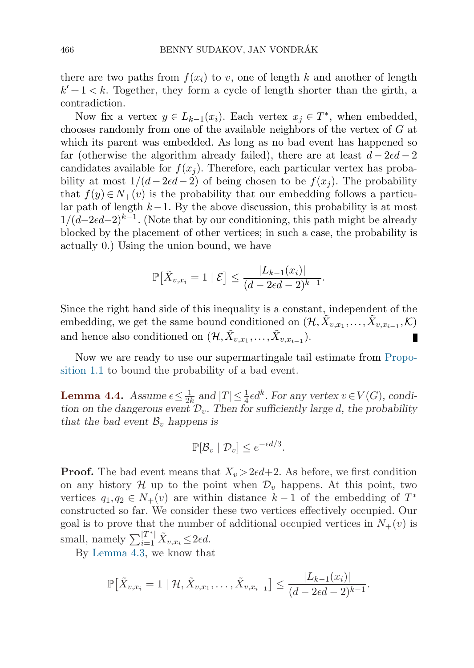there are two paths from  $f(x_i)$  to v, one of length k and another of length  $k' + 1 < k$ . Together, they form a cycle of length shorter than the girth, a contradiction.

Now fix a vertex  $y \in L_{k-1}(x_i)$ . Each vertex  $x_i \in T^*$ , when embedded, chooses randomly from one of the available neighbors of the vertex of G at which its parent was embedded. As long as no bad event has happened so far (otherwise the algorithm already failed), there are at least  $d-2\epsilon d-2$ candidates available for  $f(x_i)$ . Therefore, each particular vertex has probability at most  $1/(d-2\epsilon d-2)$  of being chosen to be  $f(x_i)$ . The probability that  $f(y) \in N_+(v)$  is the probability that our embedding follows a particular path of length  $k-1$ . By the above discussion, this probability is at most  $1/(d-2\epsilon d-2)^{k-1}$ . (Note that by our conditioning, this path might be already blocked by the placement of other vertices; in such a case, the probability is actually 0.) Using the union bound, we have

$$
\mathbb{P}[\tilde{X}_{v,x_i} = 1 \mid \mathcal{E}] \le \frac{|L_{k-1}(x_i)|}{(d - 2\epsilon d - 2)^{k-1}}.
$$

Since the right hand side of this inequality is a constant, independent of the embedding, we get the same bound conditioned on  $(\mathcal{H}, \tilde{X}_{v,x_1}, \ldots, \tilde{X}_{v,x_{i-1}}, \mathcal{K})$ and hence also conditioned on  $(\mathcal{H}, \tilde{X}_{v,x_1}, \ldots, \tilde{X}_{v,x_{i-1}}).$ П

Now we are ready to use our supermartingale tail estimate from [Propo](#page-6-0)si[tion 1.1](#page-6-0) to bound the probability of a bad event.

**Lemma 4.4.** *Assume*  $\epsilon \leq \frac{1}{2k}$  and  $|T| \leq \frac{1}{4} \epsilon d^k$ . For any vertex  $v \in V(G)$ , condition on the dangerous event  $\mathcal{D}_v$ . Then for sufficiently large d, the probability *tion on the dangerous event*  $\mathcal{D}_v$ . Then for sufficiently large d, the probability *that the bad event*  $\mathcal{B}_v$  *happens is* 

$$
\mathbb{P}[\mathcal{B}_v \mid \mathcal{D}_v] \le e^{-\epsilon d/3}.
$$

**Proof.** The bad event means that  $X_v > 2\epsilon d + 2$ . As before, we first condition on any history  $\mathcal H$  up to the point when  $\mathcal D_v$  happens. At this point, two vertices  $q_1, q_2 \in N_+(v)$  are within distance  $k-1$  of the embedding of  $T^*$ constructed so far. We consider these two vertices effectively occupied. Our goal is to prove that the number of additional occupied vertices in  $N_{+}(v)$  is small, namely  $\sum_{i=1}^{|T^*|} \tilde{X}_{v,x_i} \leq 2\epsilon d$ .

By [Lemma 4.3](#page-20-0), we know that

$$
\mathbb{P}[\tilde{X}_{v,x_i} = 1 \mid \mathcal{H}, \tilde{X}_{v,x_1}, \dots, \tilde{X}_{v,x_{i-1}}] \leq \frac{|L_{k-1}(x_i)|}{(d - 2\epsilon d - 2)^{k-1}}.
$$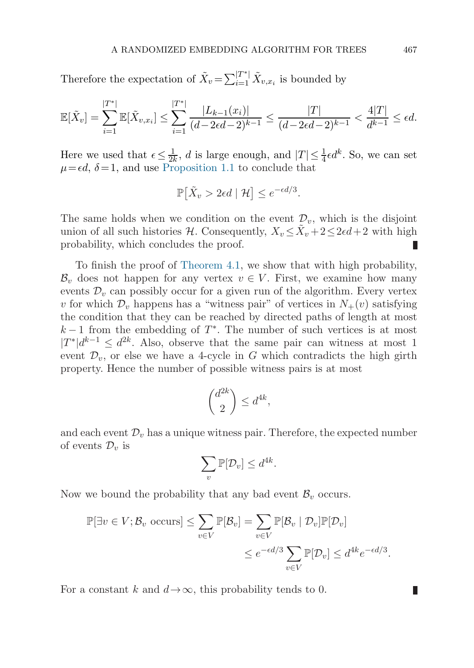Therefore the expectation of  $\tilde{X}_v = \sum_{i=1}^{|T^*|} \tilde{X}_{v,x_i}$  is bounded by

$$
\mathbb{E}[\tilde{X}_v] = \sum_{i=1}^{|T^*|} \mathbb{E}[\tilde{X}_{v,x_i}] \le \sum_{i=1}^{|T^*|} \frac{|L_{k-1}(x_i)|}{(d-2\epsilon d-2)^{k-1}} \le \frac{|T|}{(d-2\epsilon d-2)^{k-1}} < \frac{4|T|}{d^{k-1}} \le \epsilon d.
$$

Here we used that  $\epsilon \leq \frac{1}{2k}$ , *d* is large enough, and  $|T| \leq \frac{1}{4} \epsilon d^k$ . So, we can set  $\mu = \epsilon d$ ,  $\delta = 1$  and use Proposition 1.1 to conclude that  $\mu = \epsilon d$ ,  $\delta = 1$ , and use [Proposition 1.1](#page-6-0) to conclude that

$$
\mathbb{P}\big[\tilde{X}_v > 2\epsilon d \mid \mathcal{H}\big] \le e^{-\epsilon d/3}.
$$

The same holds when we condition on the event  $\mathcal{D}_v$ , which is the disjoint union of all such histories H. Consequently,  $X_v \leq X_v + 2 \leq 2\epsilon d + 2$  with high probability, which concludes the proof. П

To finish the proof of [Theorem 4.1](#page-18-0), we show that with high probability,  $\mathcal{B}_v$  does not happen for any vertex  $v \in V$ . First, we examine how many events  $\mathcal{D}_v$  can possibly occur for a given run of the algorithm. Every vertex v for which  $\mathcal{D}_v$  happens has a "witness pair" of vertices in  $N_+(v)$  satisfying the condition that they can be reached by directed paths of length at most  $k-1$  from the embedding of  $T^*$ . The number of such vertices is at most  $|T^*|d^{k-1} \leq d^{2k}$ . Also, observe that the same pair can witness at most 1 event  $\mathcal{D}_v$ , or else we have a 4-cycle in G which contradicts the high girth property. Hence the number of possible witness pairs is at most

$$
\binom{d^{2k}}{2} \leq d^{4k},
$$

and each event  $\mathcal{D}_v$  has a unique witness pair. Therefore, the expected number of events  $\mathcal{D}_v$  is

$$
\sum_{v} \mathbb{P}[\mathcal{D}_v] \leq d^{4k}.
$$

Now we bound the probability that any bad event  $\mathcal{B}_v$  occurs.

$$
\mathbb{P}[\exists v \in V; \mathcal{B}_v \text{ occurs}] \le \sum_{v \in V} \mathbb{P}[\mathcal{B}_v] = \sum_{v \in V} \mathbb{P}[\mathcal{B}_v \mid \mathcal{D}_v] \mathbb{P}[\mathcal{D}_v]
$$
  

$$
\le e^{-\epsilon d/3} \sum_{v \in V} \mathbb{P}[\mathcal{D}_v] \le d^{4k} e^{-\epsilon d/3}.
$$

For a constant k and  $d \rightarrow \infty$ , this probability tends to 0.

Ш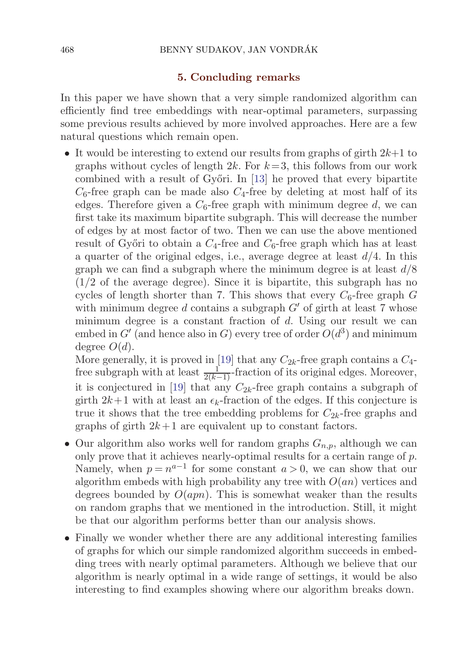#### **5. Concluding remarks**

In this paper we have shown that a very simple randomized algorithm can efficiently find tree embeddings with near-optimal parameters, surpassing some previous results achieved by more involved approaches. Here are a few natural questions which remain open.

• It would be interesting to extend our results from graphs of girth  $2k+1$  to graphs without cycles of length  $2k$ . For  $k=3$ , this follows from our work combined with a result of Győri. In [\[13](#page-24-0)] he proved that every bipartite  $C_6$ -free graph can be made also  $C_4$ -free by deleting at most half of its<br>colored Therefore given a  $C_4$ -free graph with minimum degree d, we can edges. Therefore given a  $C_6$ -free graph with minimum degree d, we can first take its maximum bipartite subgraph. This will decrease the number of edges by at most factor of two. Then we can use the above mentioned result of Győri to obtain a  $C_4$ -free and  $C_6$ -free graph which has at least a quarter of the original edges, i.e., average degree at least  $d/4$ . In this graph we can find a subgraph where the minimum degree is at least  $d/8$  $(1/2)$  of the average degree). Since it is bipartite, this subgraph has no cycles of length shorter than 7. This shows that every  $C_6$ -free graph G with minimum degree d contains a subgraph  $G'$  of girth at least 7 whose minimum degree is a constant fraction of d. Using our result we can embed in  $G'$  (and hence also in G) every tree of order  $O(d^3)$  and minimum degree  $O(d)$ .

More generally, it is proved in [\[19](#page-24-0)] that any  $C_{2k}$ -free graph contains a  $C_{4}$ free subgraph with at least  $\frac{1}{2(k-1)}$ -fraction of its original edges. Moreover,<br>it is conjectured in [10] that any  $C_1$  free graph contains a subgraph of it is conjectured in [\[19](#page-24-0)] that any  $C_{2k}$ -free graph contains a subgraph of girth  $2k+1$  with at least an  $\epsilon_k$ -fraction of the edges. If this conjecture is true it shows that the tree embedding problems for  $C_{2k}$ -free graphs and graphs of girth  $2k+1$  are equivalent up to constant factors.

- Our algorithm also works well for random graphs  $G_{n,p}$ , although we can only prove that it achieves nearly-optimal results for a certain range of p. Namely, when  $p = n^{a-1}$  for some constant  $a > 0$ , we can show that our algorithm embeds with high probability any tree with  $O(an)$  vertices and degrees bounded by  $O(apn)$ . This is somewhat weaker than the results on random graphs that we mentioned in the introduction. Still, it might be that our algorithm performs better than our analysis shows.
- Finally we wonder whether there are any additional interesting families of graphs for which our simple randomized algorithm succeeds in embedding trees with nearly optimal parameters. Although we believe that our algorithm is nearly optimal in a wide range of settings, it would be also interesting to find examples showing where our algorithm breaks down.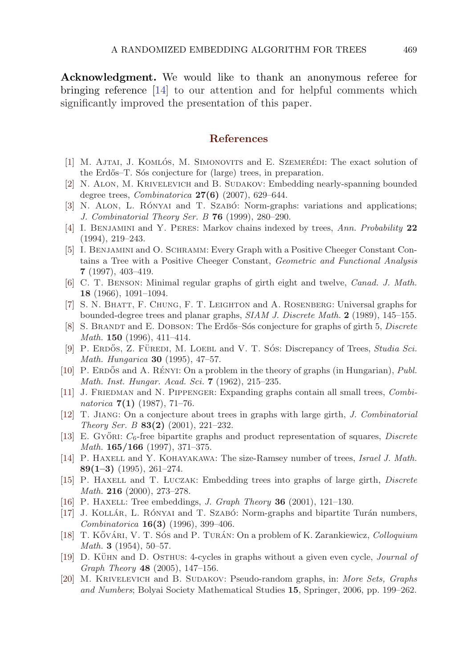<span id="page-24-0"></span>**Acknowledgment.** We would like to thank an anonymous referee for bringing reference [14] to our attention and for helpful comments which significantly improved the presentation of this paper.

#### **References**

- [1] M. AJTAI, J. KOMLÓS, M. SIMONOVITS and E. SZEMERÉDI: The exact solution of the Erdős–T. Sós conjecture for (large) trees, in preparation.
- [2] N. Alon, M. Krivelevich and B. Sudakov: Embedding nearly-spanning bounded degree trees, *Combinatorica* **27(6)** (2007), 629–644.
- [3] N. ALON, L. RÓNYAI and T. SZABÓ: Norm-graphs: variations and applications; *J. Combinatorial Theory Ser. B* **76** (1999), 280–290.
- [4] I. Benjamini and Y. Peres: Markov chains indexed by trees, *Ann. Probability* **22** (1994), 219–243.
- [5] I. Benjamini and O. Schramm: Every Graph with a Positive Cheeger Constant Contains a Tree with a Positive Cheeger Constant, *Geometric and Functional Analysis* **7** (1997), 403–419.
- [6] C. T. Benson: Minimal regular graphs of girth eight and twelve, *Canad. J. Math.* **18** (1966), 1091–1094.
- [7] S. N. Bhatt, F. Chung, F. T. Leighton and A. Rosenberg: Universal graphs for bounded-degree trees and planar graphs, *SIAM J. Discrete Math.* **2** (1989), 145–155.
- [8] S. BRANDT and E. DOBSON: The Erdős–Sós conjecture for graphs of girth 5, *Discrete Math.* **150** (1996), 411–414.
- [9] P. ERDŐS, Z. FÜREDI, M. LOEBL and V. T. SÓS: Discrepancy of Trees, *Studia Sci. Math. Hungarica* **30** (1995), 47–57.
- [10] P. ERDŐS and A. RÉNYI: On a problem in the theory of graphs (in Hungarian), *Publ. Math. Inst. Hungar. Acad. Sci.* **7** (1962), 215–235.
- [11] J. Friedman and N. Pippenger: Expanding graphs contain all small trees, *Combinatorica* **7(1)** (1987), 71–76.
- [12] T. Jiang: On a conjecture about trees in graphs with large girth, *J. Combinatorial Theory Ser. B* **83(2)** (2001), 221–232.
- [13] E. GyőRI:  $C_6$ -free bipartite graphs and product representation of squares, *Discrete Math.* **165/166** (1997), 371–375.
- [14] P. Haxell and Y. Kohayakawa: The size-Ramsey number of trees, *Israel J. Math.* **89(1–3)** (1995), 261–274.
- [15] P. HAXELL and T. ŁUCZAK: Embedding trees into graphs of large girth, *Discrete Math.* **216** (2000), 273–278.
- [16] P. Haxell: Tree embeddings, *J. Graph Theory* **36** (2001), 121–130.
- [17] J. KOLLÁR, L. RÓNYAI and T. SZABÓ: Norm-graphs and bipartite Turán numbers, *Combinatorica* **16(3)** (1996), 399–406.
- [18] T. KővÁRI, V. T. SÓS and P. TURÁN: On a problem of K. Zarankiewicz, *Colloquium Math.* **3** (1954), 50–57.
- [19] D. KÜHN and D. OSTHUS: 4-cycles in graphs without a given even cycle, *Journal of Graph Theory* **48** (2005), 147–156.
- [20] M. Krivelevich and B. Sudakov: Pseudo-random graphs, in: *More Sets, Graphs and Numbers*; Bolyai Society Mathematical Studies **15**, Springer, 2006, pp. 199–262.